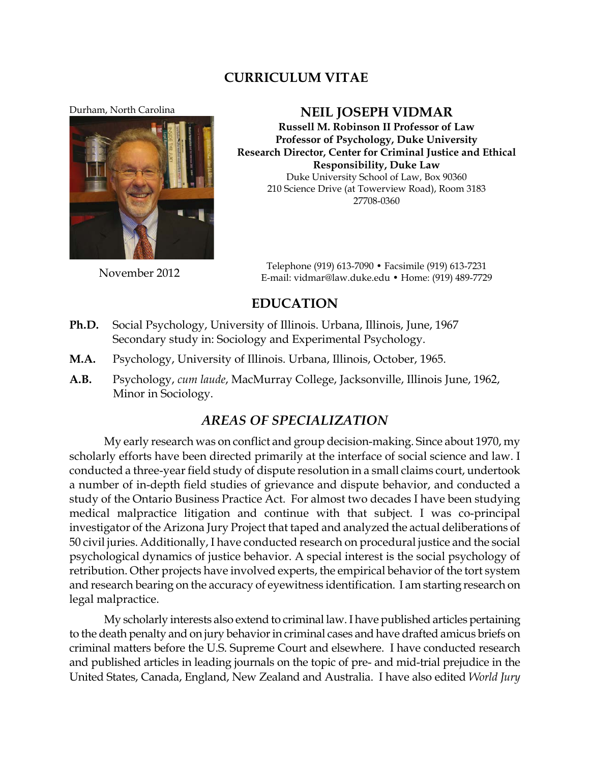### **CURRICULUM VITAE**

**Durham, North Carolina NEIL JOSEPH VIDMAR** 



**Russell M. Robinson II Professor of Law Professor of Psychology, Duke University Research Director, Center for Criminal Justice and Ethical Responsibility, Duke Law** Duke University School of Law, Box 90360 210 Science Drive (at Towerview Road), Room 3183 27708-0360

November <sup>2012</sup> Telephone (919) 613-7090 • Facsimile (919) 613-7231 E-mail: vidmar@law.duke.edu • Home: (919) 489-7729

# **EDUCATION**

- **Ph.D.** Social Psychology, University of Illinois. Urbana, Illinois, June, 1967 Secondary study in: Sociology and Experimental Psychology.
- **M.A.** Psychology, University of Illinois. Urbana, Illinois, October, 1965.
- **A.B.** Psychology, *cum laude*, MacMurray College, Jacksonville, Illinois June, 1962, Minor in Sociology.

#### *AREAS OF SPECIALIZATION*

My early research was on conflict and group decision-making. Since about 1970, my scholarly efforts have been directed primarily at the interface of social science and law. I conducted a three-year field study of dispute resolution in a small claims court, undertook a number of in-depth field studies of grievance and dispute behavior, and conducted a study of the Ontario Business Practice Act. For almost two decades I have been studying medical malpractice litigation and continue with that subject. I was co-principal investigator of the Arizona Jury Project that taped and analyzed the actual deliberations of 50 civil juries. Additionally, I have conducted research on procedural justice and the social psychological dynamics of justice behavior. A special interest is the social psychology of retribution. Other projects have involved experts, the empirical behavior of the tort system and research bearing on the accuracy of eyewitness identification. I am starting research on legal malpractice.

My scholarly interests also extend to criminal law. I have published articles pertaining to the death penalty and on jury behavior in criminal cases and have drafted amicus briefs on criminal matters before the U.S. Supreme Court and elsewhere. I have conducted research and published articles in leading journals on the topic of pre- and mid-trial prejudice in the United States, Canada, England, New Zealand and Australia. I have also edited *World Jury*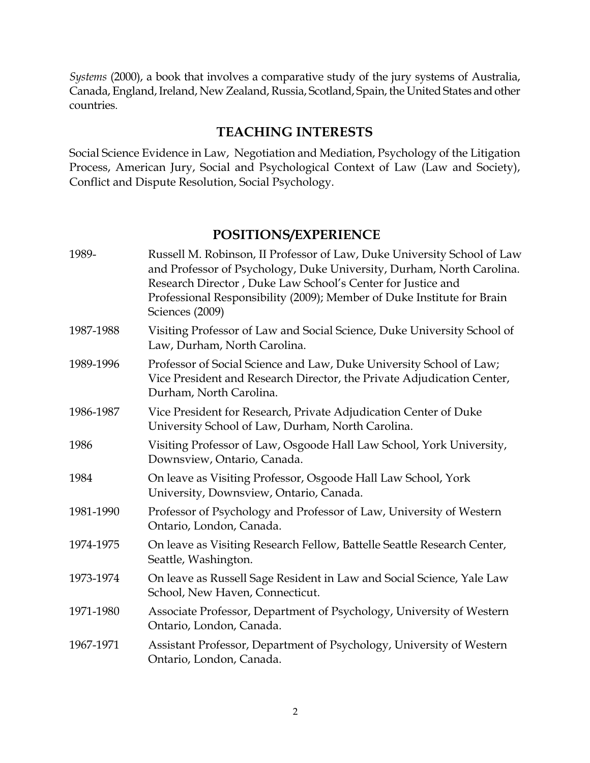*Systems* (2000), a book that involves a comparative study of the jury systems of Australia, Canada, England, Ireland, New Zealand, Russia, Scotland, Spain, the United States and other countries.

## **TEACHING INTERESTS**

Social Science Evidence in Law, Negotiation and Mediation, Psychology of the Litigation Process, American Jury, Social and Psychological Context of Law (Law and Society), Conflict and Dispute Resolution, Social Psychology.

### **POSITIONS/EXPERIENCE**

| 1989-     | Russell M. Robinson, II Professor of Law, Duke University School of Law<br>and Professor of Psychology, Duke University, Durham, North Carolina.<br>Research Director, Duke Law School's Center for Justice and<br>Professional Responsibility (2009); Member of Duke Institute for Brain<br>Sciences (2009) |
|-----------|--------------------------------------------------------------------------------------------------------------------------------------------------------------------------------------------------------------------------------------------------------------------------------------------------------------|
| 1987-1988 | Visiting Professor of Law and Social Science, Duke University School of<br>Law, Durham, North Carolina.                                                                                                                                                                                                      |
| 1989-1996 | Professor of Social Science and Law, Duke University School of Law;<br>Vice President and Research Director, the Private Adjudication Center,<br>Durham, North Carolina.                                                                                                                                     |
| 1986-1987 | Vice President for Research, Private Adjudication Center of Duke<br>University School of Law, Durham, North Carolina.                                                                                                                                                                                        |
| 1986      | Visiting Professor of Law, Osgoode Hall Law School, York University,<br>Downsview, Ontario, Canada.                                                                                                                                                                                                          |
| 1984      | On leave as Visiting Professor, Osgoode Hall Law School, York<br>University, Downsview, Ontario, Canada.                                                                                                                                                                                                     |
| 1981-1990 | Professor of Psychology and Professor of Law, University of Western<br>Ontario, London, Canada.                                                                                                                                                                                                              |
| 1974-1975 | On leave as Visiting Research Fellow, Battelle Seattle Research Center,<br>Seattle, Washington.                                                                                                                                                                                                              |
| 1973-1974 | On leave as Russell Sage Resident in Law and Social Science, Yale Law<br>School, New Haven, Connecticut.                                                                                                                                                                                                     |
| 1971-1980 | Associate Professor, Department of Psychology, University of Western<br>Ontario, London, Canada.                                                                                                                                                                                                             |
| 1967-1971 | Assistant Professor, Department of Psychology, University of Western<br>Ontario, London, Canada.                                                                                                                                                                                                             |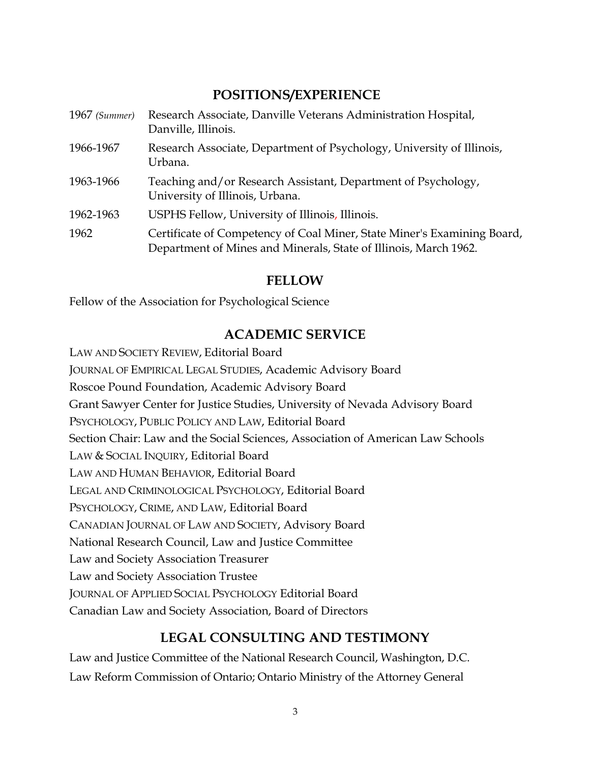### **POSITIONS/EXPERIENCE**

| $1967$ (Summer) | Research Associate, Danville Veterans Administration Hospital,<br>Danville, Illinois.                                                       |
|-----------------|---------------------------------------------------------------------------------------------------------------------------------------------|
| 1966-1967       | Research Associate, Department of Psychology, University of Illinois,<br>Urbana.                                                            |
| 1963-1966       | Teaching and/or Research Assistant, Department of Psychology,<br>University of Illinois, Urbana.                                            |
| 1962-1963       | USPHS Fellow, University of Illinois, Illinois.                                                                                             |
| 1962            | Certificate of Competency of Coal Miner, State Miner's Examining Board,<br>Department of Mines and Minerals, State of Illinois, March 1962. |

#### **FELLOW**

Fellow of the Association for Psychological Science

## **ACADEMIC SERVICE**

LAW AND SOCIETY REVIEW, Editorial Board JOURNAL OF EMPIRICAL LEGAL STUDIES, Academic Advisory Board Roscoe Pound Foundation, Academic Advisory Board Grant Sawyer Center for Justice Studies, University of Nevada Advisory Board PSYCHOLOGY, PUBLIC POLICY AND LAW, Editorial Board Section Chair: Law and the Social Sciences, Association of American Law Schools LAW & SOCIAL INQUIRY, Editorial Board LAW AND HUMAN BEHAVIOR, Editorial Board LEGAL AND CRIMINOLOGICAL PSYCHOLOGY, Editorial Board PSYCHOLOGY, CRIME, AND LAW, Editorial Board CANADIAN JOURNAL OF LAW AND SOCIETY, Advisory Board National Research Council, Law and Justice Committee Law and Society Association Treasurer Law and Society Association Trustee JOURNAL OF APPLIED SOCIAL PSYCHOLOGY Editorial Board Canadian Law and Society Association, Board of Directors

## **LEGAL CONSULTING AND TESTIMONY**

Law and Justice Committee of the National Research Council, Washington, D.C. Law Reform Commission of Ontario; Ontario Ministry of the Attorney General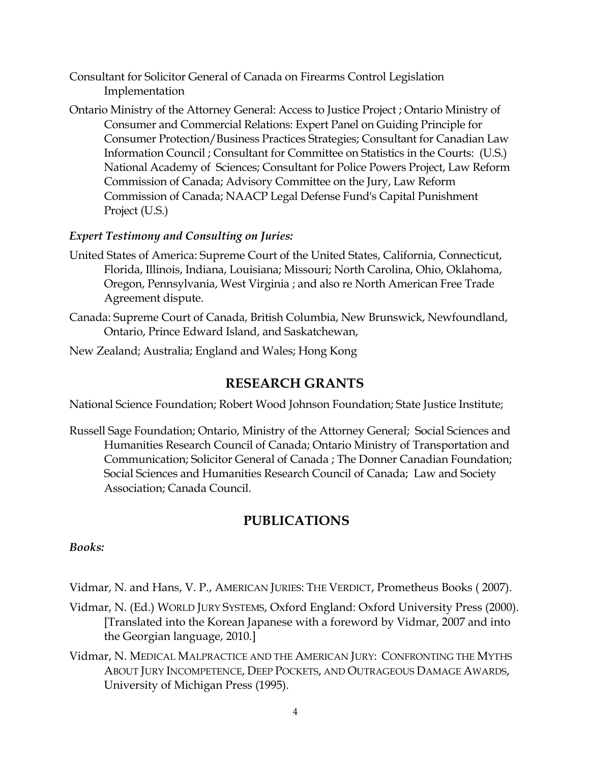- Consultant for Solicitor General of Canada on Firearms Control Legislation Implementation
- Ontario Ministry of the Attorney General: Access to Justice Project ; Ontario Ministry of Consumer and Commercial Relations: Expert Panel on Guiding Principle for Consumer Protection/Business Practices Strategies; Consultant for Canadian Law Information Council ; Consultant for Committee on Statistics in the Courts: (U.S.) National Academy of Sciences; Consultant for Police Powers Project, Law Reform Commission of Canada; Advisory Committee on the Jury, Law Reform Commission of Canada; NAACP Legal Defense Fund's Capital Punishment Project (U.S.)

#### *Expert Testimony and Consulting on Juries:*

- United States of America: Supreme Court of the United States, California, Connecticut, Florida, Illinois, Indiana, Louisiana; Missouri; North Carolina, Ohio, Oklahoma, Oregon, Pennsylvania, West Virginia ; and also re North American Free Trade Agreement dispute.
- Canada: Supreme Court of Canada, British Columbia, New Brunswick, Newfoundland, Ontario, Prince Edward Island, and Saskatchewan,
- New Zealand; Australia; England and Wales; Hong Kong

#### **RESEARCH GRANTS**

National Science Foundation; Robert Wood Johnson Foundation; State Justice Institute;

Russell Sage Foundation; Ontario, Ministry of the Attorney General; Social Sciences and Humanities Research Council of Canada; Ontario Ministry of Transportation and Communication; Solicitor General of Canada ; The Donner Canadian Foundation; Social Sciences and Humanities Research Council of Canada; Law and Society Association; Canada Council.

## **PUBLICATIONS**

#### *Books:*

Vidmar, N. and Hans, V. P., AMERICAN JURIES: THE VERDICT, Prometheus Books ( 2007).

- Vidmar, N. (Ed.) WORLD JURY SYSTEMS, Oxford England: Oxford University Press (2000). [Translated into the Korean Japanese with a foreword by Vidmar, 2007 and into the Georgian language, 2010.]
- Vidmar, N. MEDICAL MALPRACTICE AND THE AMERICAN JURY: CONFRONTING THE MYTHS ABOUT JURY INCOMPETENCE, DEEP POCKETS, AND OUTRAGEOUS DAMAGE AWARDS, University of Michigan Press (1995).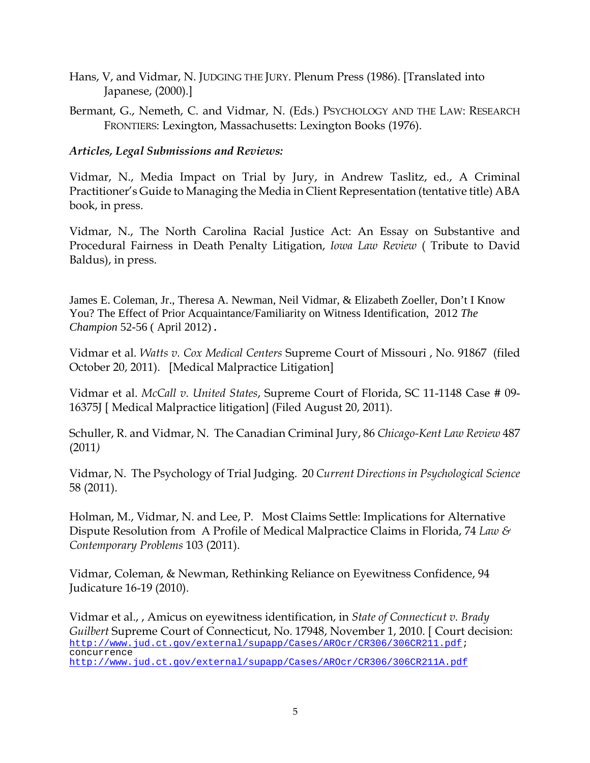- Hans, V, and Vidmar, N. JUDGING THE JURY. Plenum Press (1986). [Translated into Japanese, (2000).]
- Bermant, G., Nemeth, C. and Vidmar, N. (Eds.) PSYCHOLOGY AND THE LAW: RESEARCH FRONTIERS: Lexington, Massachusetts: Lexington Books (1976).

#### *Articles, Legal Submissions and Reviews:*

Vidmar, N., Media Impact on Trial by Jury, in Andrew Taslitz, ed., A Criminal Practitioner's Guide to Managing the Media in Client Representation (tentative title) ABA book, in press.

Vidmar, N., The North Carolina Racial Justice Act: An Essay on Substantive and Procedural Fairness in Death Penalty Litigation, *Iowa Law Review* ( Tribute to David Baldus), in press.

James E. Coleman, Jr., Theresa A. Newman, Neil Vidmar, & Elizabeth Zoeller, Don't I Know You? The Effect of Prior Acquaintance/Familiarity on Witness Identification, 2012 *The Champion* 52-56 ( April 2012) *.*

Vidmar et al. *Watts v. Cox Medical Centers* Supreme Court of Missouri , No. 91867 (filed October 20, 2011). [Medical Malpractice Litigation]

Vidmar et al. *McCall v. United States*, Supreme Court of Florida, SC 11-1148 Case # 09- 16375J [ Medical Malpractice litigation] (Filed August 20, 2011).

Schuller, R. and Vidmar, N. The Canadian Criminal Jury, 86 *Chicago-Kent Law Review* 487 (2011*)*

Vidmar, N. The Psychology of Trial Judging. 20 *Current Directions in Psychological Science* 58 (2011).

Holman, M., Vidmar, N. and Lee, P. Most Claims Settle: Implications for Alternative Dispute Resolution from A Profile of Medical Malpractice Claims in Florida, 74 *Law & Contemporary Problems* 103 (2011).

Vidmar, Coleman, & Newman, Rethinking Reliance on Eyewitness Confidence, 94 Judicature 16-19 (2010).

Vidmar et al., , Amicus on eyewitness identification, in *State of Connecticut v. Brady Guilbert* Supreme Court of Connecticut, No. 17948, November 1, 2010. [ Court decision: [http://www.jud.ct.gov/external/supapp/Cases/AROcr/CR306/306CR211.pdf;](http://www.jud.ct.gov/external/supapp/Cases/AROcr/CR306/306CR211.pdf) concurrence <http://www.jud.ct.gov/external/supapp/Cases/AROcr/CR306/306CR211A.pdf>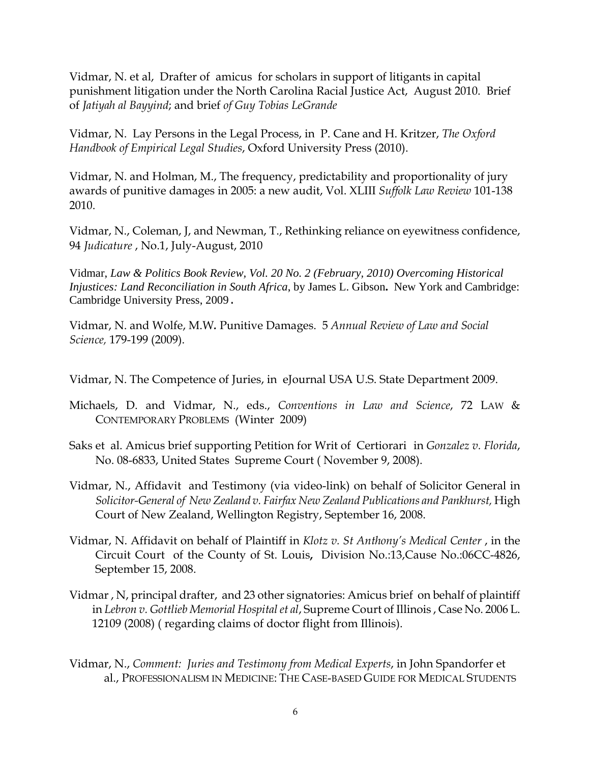Vidmar, N. et al, Drafter of amicus for scholars in support of litigants in capital punishment litigation under the North Carolina Racial Justice Act, August 2010. Brief of *Jatiyah al Bayyind*; and brief *of Guy Tobias LeGrande*

Vidmar, N. Lay Persons in the Legal Process, in P. Cane and H. Kritzer, *The Oxford Handbook of Empirical Legal Studies*, Oxford University Press (2010).

Vidmar, N. and Holman, M., The frequency, predictability and proportionality of jury awards of punitive damages in 2005: a new audit, Vol. XLIII *Suffolk Law Review* 101-138 2010.

Vidmar, N., Coleman, J, and Newman, T., Rethinking reliance on eyewitness confidence, 94 *Judicature* , No.1, July-August, 2010

Vidmar, *Law & Politics Book Review, Vol. 20 No. 2 (February, 2010) Overcoming Historical Injustices: Land Reconciliation in South Africa*, by James L. Gibson**.** New York and Cambridge: Cambridge University Press, 2009.

Vidmar, N. and Wolfe, M.W*.* Punitive Damages. 5 *Annual Review of Law and Social Science,* 179-199 (2009).

Vidmar, N. The Competence of Juries, in eJournal USA U.S. State Department 2009.

- Michaels, D. and Vidmar, N., eds., *Conventions in Law and Science*, 72 LAW & CONTEMPORARY PROBLEMS (Winter 2009)
- Saks et al. Amicus brief supporting Petition for Writ of Certiorari in *Gonzalez v. Florida*, No. 08-6833, United States Supreme Court ( November 9, 2008).
- Vidmar, N*.*, Affidavit and Testimony (via video-link) on behalf of Solicitor General in *Solicitor-General of New Zealand v. Fairfax New Zealand Publications and Pankhurst,* High Court of New Zealand, Wellington Registry, September 16, 2008.
- Vidmar, N. Affidavit on behalf of Plaintiff in *Klotz v. St Anthony's Medical Center* , in the Circuit Court of the County of St. Louis**,** Division No.:13,Cause No.:06CC-4826, September 15, 2008.
- Vidmar , N, principal drafter, and 23 other signatories: Amicus brief on behalf of plaintiff in *Lebron v. Gottlieb Memorial Hospital et al*, Supreme Court of Illinois , Case No. 2006 L. 12109 (2008) ( regarding claims of doctor flight from Illinois).
- Vidmar, N., *Comment: Juries and Testimony from Medical Experts*, in John Spandorfer et al., PROFESSIONALISM IN MEDICINE: THE CASE-BASED GUIDE FOR MEDICAL STUDENTS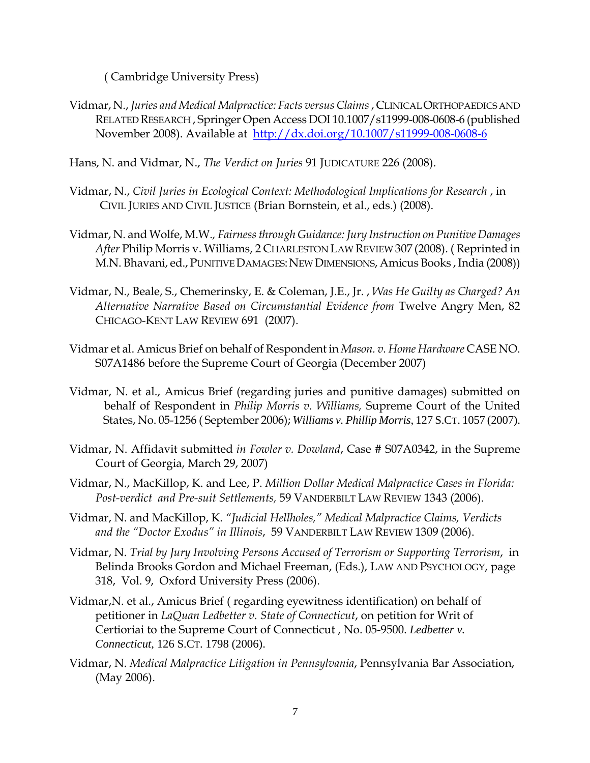( Cambridge University Press)

Vidmar, N., *Juries and Medical Malpractice: Facts versus Claims*, CLINICAL ORTHOPAEDICS AND RELATED RESEARCH , Springer Open Access DOI 10.1007/s11999-008-0608-6 (published November 2008). Available at <http://dx.doi.org/10.1007/s11999-008-0608-6>

Hans, N. and Vidmar, N., *The Verdict on Juries* 91 JUDICATURE 226 (2008).

- Vidmar, N., *Civil Juries in Ecological Context: Methodological Implications for Research* , in CIVIL JURIES AND CIVIL JUSTICE (Brian Bornstein, et al., eds.) (2008).
- Vidmar, N. and Wolfe, M.W.*, Fairness through Guidance: Jury Instruction on Punitive Damages After* Philip Morris v. Williams, 2 CHARLESTON LAW REVIEW 307 (2008). ( Reprinted in M.N. Bhavani, ed., PUNITIVE DAMAGES: NEW DIMENSIONS, Amicus Books, India (2008))
- Vidmar, N., Beale, S., Chemerinsky, E. & Coleman, J.E., Jr. , *Was He Guilty as Charged? An Alternative Narrative Based on Circumstantial Evidence from* Twelve Angry Men, 82 CHICAGO-KENT LAW REVIEW 691 (2007).
- Vidmar et al. Amicus Brief on behalf of Respondent in *Mason. v. Home Hardware* CASE NO. S07A1486 before the Supreme Court of Georgia (December 2007)
- Vidmar, N. et al., Amicus Brief (regarding juries and punitive damages) submitted on behalf of Respondent in *Philip Morris v. Williams,* Supreme Court of the United States, No. 05-1256 ( September 2006); *Williams v. Phillip Morris*, 127 S.CT. 1057 (2007).
- Vidmar, N. Affidavit submitted *in Fowler v. Dowland*, Case # S07A0342, in the Supreme Court of Georgia, March 29, 2007)
- Vidmar, N., MacKillop, K. and Lee, P. *Million Dollar Medical Malpractice Cases in Florida: Post-verdict and Pre-suit Settlements,* 59 VANDERBILT LAW REVIEW 1343 (2006).
- Vidmar, N. and MacKillop, K. *"Judicial Hellholes," Medical Malpractice Claims, Verdicts and the "Doctor Exodus" in Illinois*, 59 VANDERBILT LAW REVIEW 1309 (2006).
- Vidmar, N. *Trial by Jury Involving Persons Accused of Terrorism or Supporting Terrorism*, in Belinda Brooks Gordon and Michael Freeman, (Eds.), LAW AND PSYCHOLOGY, page 318, Vol. 9, Oxford University Press (2006).
- Vidmar,N. et al., Amicus Brief ( regarding eyewitness identification) on behalf of petitioner in *LaQuan Ledbetter v. State of Connecticut*, on petition for Writ of Certioriai to the Supreme Court of Connecticut , No. 05-9500. *Ledbetter v. Connecticut*, 126 S.CT. 1798 (2006).
- Vidmar, N. *Medical Malpractice Litigation in Pennsylvania*, Pennsylvania Bar Association, (May 2006).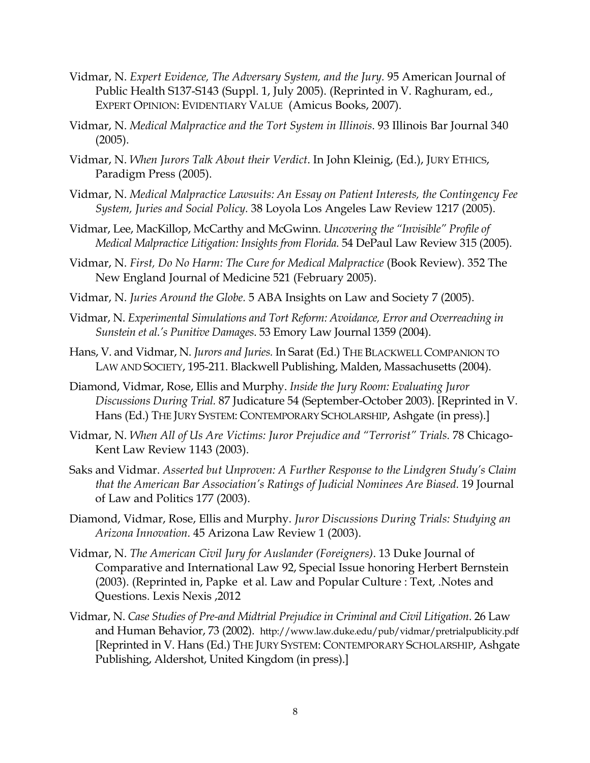- Vidmar, N. *Expert Evidence, The Adversary System, and the Jury.* 95 American Journal of Public Health S137-S143 (Suppl. 1, July 2005). (Reprinted in V. Raghuram, ed., EXPERT OPINION: EVIDENTIARY VALUE (Amicus Books, 2007).
- Vidmar, N. *Medical Malpractice and the Tort System in Illinois*. 93 Illinois Bar Journal 340 (2005).
- Vidmar, N. *When Jurors Talk About their Verdict*. In John Kleinig, (Ed.), JURY ETHICS, Paradigm Press (2005).
- Vidmar, N. *Medical Malpractice Lawsuits: An Essay on Patient Interests, the Contingency Fee System, Juries and Social Policy.* 38 Loyola Los Angeles Law Review 1217 (2005).
- Vidmar, Lee, MacKillop, McCarthy and McGwinn. *Uncovering the "Invisible" Profile of Medical Malpractice Litigation: Insights from Florida.* 54 DePaul Law Review 315 (2005).
- Vidmar, N. *First, Do No Harm: The Cure for Medical Malpractice* (Book Review). 352 The New England Journal of Medicine 521 (February 2005).
- Vidmar, N. *Juries Around the Globe.* 5 ABA Insights on Law and Society 7 (2005).
- Vidmar, N. *Experimental Simulations and Tort Reform: Avoidance, Error and Overreaching in Sunstein et al.'s Punitive Damages*. 53 Emory Law Journal 1359 (2004).
- Hans, V. and Vidmar, N. *Jurors and Juries.* In Sarat (Ed.) THE BLACKWELL COMPANION TO LAW AND SOCIETY, 195-211. Blackwell Publishing, Malden, Massachusetts (2004).
- Diamond, Vidmar, Rose, Ellis and Murphy. *Inside the Jury Room: Evaluating Juror Discussions During Trial.* 87 Judicature 54 (September-October 2003). [Reprinted in V. Hans (Ed.) THE JURY SYSTEM: CONTEMPORARY SCHOLARSHIP, Ashgate (in press).]
- Vidmar, N. *When All of Us Are Victims: Juror Prejudice and "Terrorist" Trials.* 78 Chicago-Kent Law Review 1143 (2003).
- Saks and Vidmar. *Asserted but Unproven: A Further Response to the Lindgren Study's Claim that the American Bar Association's Ratings of Judicial Nominees Are Biased.* 19 Journal of Law and Politics 177 (2003).
- Diamond, Vidmar, Rose, Ellis and Murphy. *Juror Discussions During Trials: Studying an Arizona Innovation.* 45 Arizona Law Review 1 (2003).
- Vidmar, N. *The American Civil Jury for Auslander (Foreigners)*. 13 Duke Journal of Comparative and International Law 92, Special Issue honoring Herbert Bernstein (2003). (Reprinted in, Papke et al. Law and Popular Culture : Text, .Notes and Questions. Lexis Nexis ,2012
- Vidmar, N. *Case Studies of Pre-and Midtrial Prejudice in Criminal and Civil Litigation*. 26 Law and Human Behavior, 73 (2002). http://www.law.duke.edu/pub/vidmar/pretrialpublicity.pdf [Reprinted in V. Hans (Ed.) THE JURY SYSTEM: CONTEMPORARY SCHOLARSHIP, Ashgate Publishing, Aldershot, United Kingdom (in press).]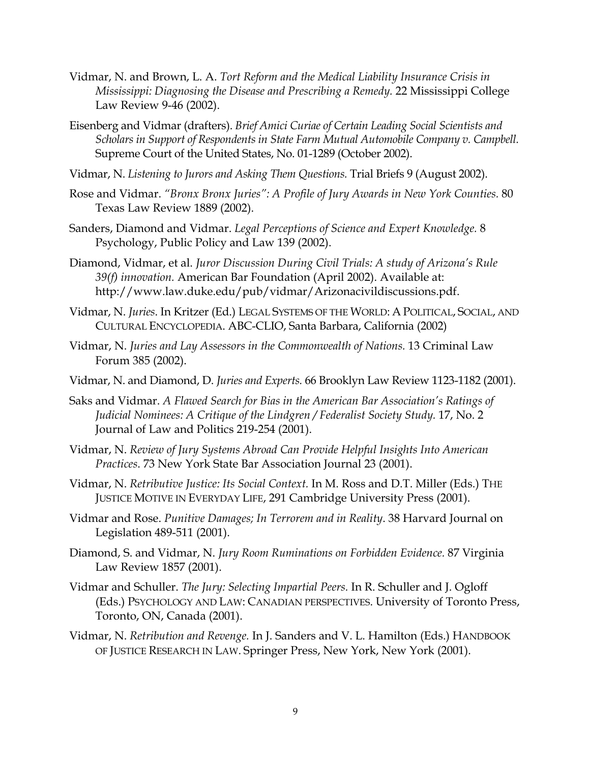- Vidmar, N. and Brown, L. A. *Tort Reform and the Medical Liability Insurance Crisis in Mississippi: Diagnosing the Disease and Prescribing a Remedy.* 22 Mississippi College Law Review 9-46 (2002).
- Eisenberg and Vidmar (drafters). *Brief Amici Curiae of Certain Leading Social Scientists and Scholars in Support of Respondents in State Farm Mutual Automobile Company v. Campbell.* Supreme Court of the United States, No. 01-1289 (October 2002).
- Vidmar, N. *Listening to Jurors and Asking Them Questions.* Trial Briefs 9 (August 2002).
- Rose and Vidmar. *"Bronx Bronx Juries": A Profile of Jury Awards in New York Counties.* 80 Texas Law Review 1889 (2002).
- Sanders, Diamond and Vidmar. *Legal Perceptions of Science and Expert Knowledge.* 8 Psychology, Public Policy and Law 139 (2002).
- Diamond, Vidmar, et al. *Juror Discussion During Civil Trials: A study of Arizona's Rule 39(f) innovation.* American Bar Foundation (April 2002). Available at: http://www.law.duke.edu/pub/vidmar/Arizonacivildiscussions.pdf.
- Vidmar, N. *Juries*. In Kritzer (Ed.) LEGAL SYSTEMS OF THE WORLD: A POLITICAL, SOCIAL, AND CULTURAL ENCYCLOPEDIA. ABC-CLIO, Santa Barbara, California (2002)
- Vidmar, N. *Juries and Lay Assessors in the Commonwealth of Nations.* 13 Criminal Law Forum 385 (2002).
- Vidmar, N. and Diamond, D. *Juries and Experts.* 66 Brooklyn Law Review 1123-1182 (2001).
- Saks and Vidmar. *A Flawed Search for Bias in the American Bar Association's Ratings of Judicial Nominees: A Critique of the Lindgren / Federalist Society Study.* 17, No. 2 Journal of Law and Politics 219-254 (2001).
- Vidmar, N. *Review of Jury Systems Abroad Can Provide Helpful Insights Into American Practices*. 73 New York State Bar Association Journal 23 (2001).
- Vidmar, N. *Retributive Justice: Its Social Context.* In M. Ross and D.T. Miller (Eds.) THE JUSTICE MOTIVE IN EVERYDAY LIFE, 291 Cambridge University Press (2001).
- Vidmar and Rose. *Punitive Damages; In Terrorem and in Reality*. 38 Harvard Journal on Legislation 489-511 (2001).
- Diamond, S. and Vidmar, N. *Jury Room Ruminations on Forbidden Evidence.* 87 Virginia Law Review 1857 (2001).
- Vidmar and Schuller. *The Jury: Selecting Impartial Peers.* In R. Schuller and J. Ogloff (Eds.) PSYCHOLOGY AND LAW: CANADIAN PERSPECTIVES. University of Toronto Press, Toronto, ON, Canada (2001).
- Vidmar, N. *Retribution and Revenge.* In J. Sanders and V. L. Hamilton (Eds.) HANDBOOK OF JUSTICE RESEARCH IN LAW. Springer Press, New York, New York (2001).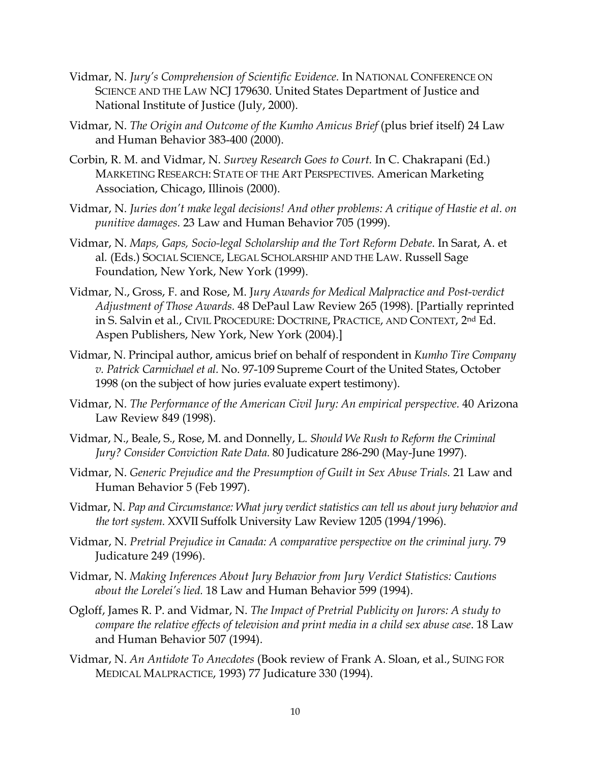- Vidmar, N. *Jury's Comprehension of Scientific Evidence.* In NATIONAL CONFERENCE ON SCIENCE AND THE LAW NCJ 179630. United States Department of Justice and National Institute of Justice (July, 2000).
- Vidmar, N. *The Origin and Outcome of the Kumho Amicus Brief* (plus brief itself) 24 Law and Human Behavior 383-400 (2000).
- Corbin, R. M. and Vidmar, N. *Survey Research Goes to Court.* In C. Chakrapani (Ed.) MARKETING RESEARCH: STATE OF THE ART PERSPECTIVES. American Marketing Association, Chicago, Illinois (2000).
- Vidmar, N. *Juries don't make legal decisions! And other problems: A critique of Hastie et al. on punitive damages.* 23 Law and Human Behavior 705 (1999).
- Vidmar, N. *Maps, Gaps, Socio-legal Scholarship and the Tort Reform Debate*. In Sarat, A. et al*.* (Eds.) SOCIAL SCIENCE, LEGAL SCHOLARSHIP AND THE LAW. Russell Sage Foundation, New York, New York (1999).
- Vidmar, N., Gross, F. and Rose, M. J*ury Awards for Medical Malpractice and Post-verdict Adjustment of Those Awards.* 48 DePaul Law Review 265 (1998). [Partially reprinted in S. Salvin et al*.*, CIVIL PROCEDURE: DOCTRINE, PRACTICE, AND CONTEXT, 2nd Ed. Aspen Publishers, New York, New York (2004).]
- Vidmar, N. Principal author, amicus brief on behalf of respondent in *Kumho Tire Company v. Patrick Carmichael et al.* No. 97-109 Supreme Court of the United States, October 1998 (on the subject of how juries evaluate expert testimony).
- Vidmar, N. *The Performance of the American Civil Jury: An empirical perspective.* 40 Arizona Law Review 849 (1998).
- Vidmar, N., Beale, S., Rose, M. and Donnelly, L. *Should We Rush to Reform the Criminal Jury? Consider Conviction Rate Data.* 80 Judicature 286-290 (May-June 1997).
- Vidmar, N. *Generic Prejudice and the Presumption of Guilt in Sex Abuse Trials.* 21 Law and Human Behavior 5 (Feb 1997).
- Vidmar, N. *Pap and Circumstance: What jury verdict statistics can tell us about jury behavior and the tort system.* XXVII Suffolk University Law Review 1205 (1994/1996).
- Vidmar, N. *Pretrial Prejudice in Canada: A comparative perspective on the criminal jury.* 79 Judicature 249 (1996).
- Vidmar, N. *Making Inferences About Jury Behavior from Jury Verdict Statistics: Cautions about the Lorelei's lied.* 18 Law and Human Behavior 599 (1994).
- Ogloff, James R. P. and Vidmar, N. *The Impact of Pretrial Publicity on Jurors: A study to compare the relative effects of television and print media in a child sex abuse case*. 18 Law and Human Behavior 507 (1994).
- Vidmar, N. *An Antidote To Anecdotes* (Book review of Frank A. Sloan, et al., SUING FOR MEDICAL MALPRACTICE, 1993) 77 Judicature 330 (1994).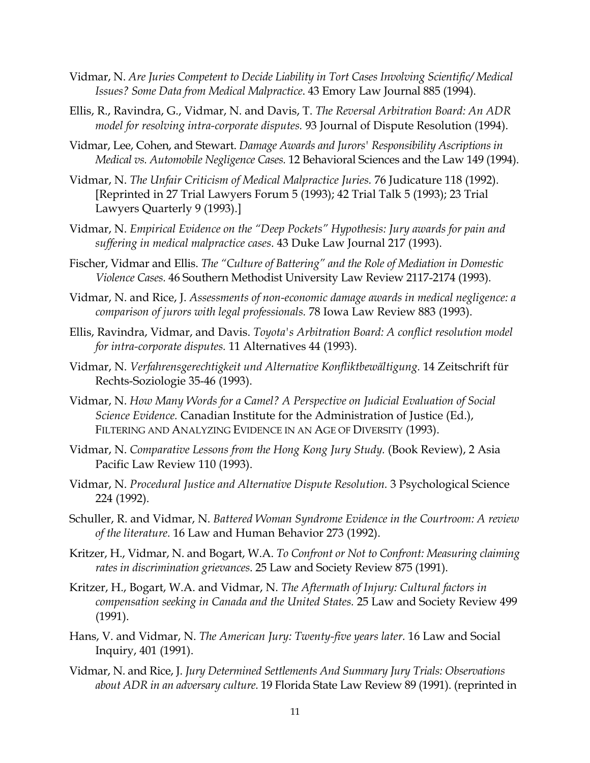- Vidmar, N. *Are Juries Competent to Decide Liability in Tort Cases Involving Scientific/ Medical Issues? Some Data from Medical Malpractice*. 43 Emory Law Journal 885 (1994).
- Ellis, R., Ravindra, G., Vidmar, N. and Davis, T. *The Reversal Arbitration Board: An ADR model for resolving intra-corporate disputes.* 93 Journal of Dispute Resolution (1994).
- Vidmar, Lee, Cohen, and Stewart. *Damage Awards and Jurors' Responsibility Ascriptions in Medical vs. Automobile Negligence Cases.* 12 Behavioral Sciences and the Law 149 (1994).
- Vidmar, N. *The Unfair Criticism of Medical Malpractice Juries.* 76 Judicature 118 (1992). [Reprinted in 27 Trial Lawyers Forum 5 (1993); 42 Trial Talk 5 (1993); 23 Trial Lawyers Quarterly 9 (1993).]
- Vidmar, N. *Empirical Evidence on the "Deep Pockets" Hypothesis: Jury awards for pain and suffering in medical malpractice cases*. 43 Duke Law Journal 217 (1993).
- Fischer, Vidmar and Ellis. *The "Culture of Battering" and the Role of Mediation in Domestic Violence Cases.* 46 Southern Methodist University Law Review 2117-2174 (1993).
- Vidmar, N. and Rice, J. *Assessments of non-economic damage awards in medical negligence: a comparison of jurors with legal professionals.* 78 Iowa Law Review 883 (1993).
- Ellis, Ravindra, Vidmar, and Davis. *Toyota's Arbitration Board: A conflict resolution model for intra-corporate disputes.* 11 Alternatives 44 (1993).
- Vidmar, N. *Verfahrensgerechtigkeit und Alternative Konfliktbewältigung.* 14 Zeitschrift für Rechts-Soziologie 35-46 (1993).
- Vidmar, N. *How Many Words for a Camel? A Perspective on Judicial Evaluation of Social Science Evidence.* Canadian Institute for the Administration of Justice (Ed.), FILTERING AND ANALYZING EVIDENCE IN AN AGE OF DIVERSITY (1993).
- Vidmar, N. *Comparative Lessons from the Hong Kong Jury Study.* (Book Review), 2 Asia Pacific Law Review 110 (1993).
- Vidmar, N. *Procedural Justice and Alternative Dispute Resolution.* 3 Psychological Science 224 (1992).
- Schuller, R. and Vidmar, N. *Battered Woman Syndrome Evidence in the Courtroom: A review of the literature.* 16 Law and Human Behavior 273 (1992).
- Kritzer, H., Vidmar, N. and Bogart, W.A. *To Confront or Not to Confront: Measuring claiming rates in discrimination grievances*. 25 Law and Society Review 875 (1991).
- Kritzer, H., Bogart, W.A. and Vidmar, N. *The Aftermath of Injury: Cultural factors in compensation seeking in Canada and the United States.* 25 Law and Society Review 499 (1991).
- Hans, V. and Vidmar, N. *The American Jury: Twenty-five years later.* 16 Law and Social Inquiry, 401 (1991).
- Vidmar, N. and Rice, J. *Jury Determined Settlements And Summary Jury Trials: Observations about ADR in an adversary culture.* 19 Florida State Law Review 89 (1991). (reprinted in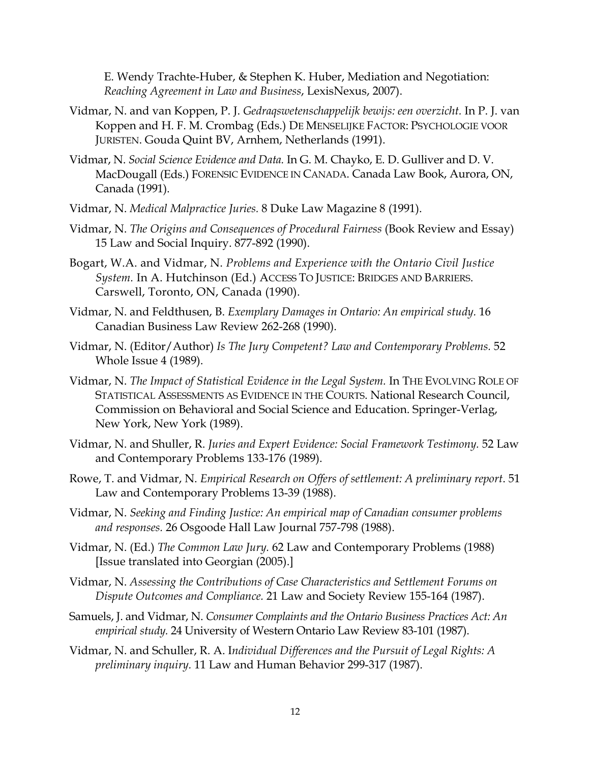E. Wendy Trachte-Huber, & Stephen K. Huber, Mediation and Negotiation: *Reaching Agreement in Law and Business*, LexisNexus, 2007).

- Vidmar, N. and van Koppen, P. J. *Gedraqswetenschappelijk bewijs: een overzicht.* In P. J. van Koppen and H. F. M. Crombag (Eds.) DE MENSELIJKE FACTOR: PSYCHOLOGIE VOOR JURISTEN. Gouda Quint BV, Arnhem, Netherlands (1991).
- Vidmar, N. *Social Science Evidence and Data.* In G. M. Chayko, E. D. Gulliver and D. V. MacDougall (Eds.) FORENSIC EVIDENCE IN CANADA. Canada Law Book, Aurora, ON, Canada (1991).
- Vidmar, N. *Medical Malpractice Juries.* 8 Duke Law Magazine 8 (1991).
- Vidmar, N. *The Origins and Consequences of Procedural Fairness* (Book Review and Essay) 15 Law and Social Inquiry. 877-892 (1990).
- Bogart, W.A. and Vidmar, N. *Problems and Experience with the Ontario Civil Justice System.* In A. Hutchinson (Ed.) ACCESS TO JUSTICE: BRIDGES AND BARRIERS. Carswell, Toronto, ON, Canada (1990).
- Vidmar, N. and Feldthusen, B. *Exemplary Damages in Ontario: An empirical study.* 16 Canadian Business Law Review 262-268 (1990).
- Vidmar, N. (Editor/Author) *Is The Jury Competent? Law and Contemporary Problems.* 52 Whole Issue 4 (1989).
- Vidmar, N. *The Impact of Statistical Evidence in the Legal System.* In THE EVOLVING ROLE OF STATISTICAL ASSESSMENTS AS EVIDENCE IN THE COURTS. National Research Council, Commission on Behavioral and Social Science and Education. Springer-Verlag, New York, New York (1989).
- Vidmar, N. and Shuller, R. *Juries and Expert Evidence: Social Framework Testimony.* 52 Law and Contemporary Problems 133-176 (1989).
- Rowe, T. and Vidmar, N. *Empirical Research on Offers of settlement: A preliminary report*. 51 Law and Contemporary Problems 13-39 (1988).
- Vidmar, N. *Seeking and Finding Justice: An empirical map of Canadian consumer problems and responses.* 26 Osgoode Hall Law Journal 757-798 (1988).
- Vidmar, N. (Ed.) *The Common Law Jury.* 62 Law and Contemporary Problems (1988) [Issue translated into Georgian (2005).]
- Vidmar, N. *Assessing the Contributions of Case Characteristics and Settlement Forums on Dispute Outcomes and Compliance.* 21 Law and Society Review 155-164 (1987).
- Samuels, J. and Vidmar, N. *Consumer Complaints and the Ontario Business Practices Act: An empirical study.* 24 University of Western Ontario Law Review 83-101 (1987).
- Vidmar, N. and Schuller, R. A. I*ndividual Differences and the Pursuit of Legal Rights: A preliminary inquiry.* 11 Law and Human Behavior 299-317 (1987).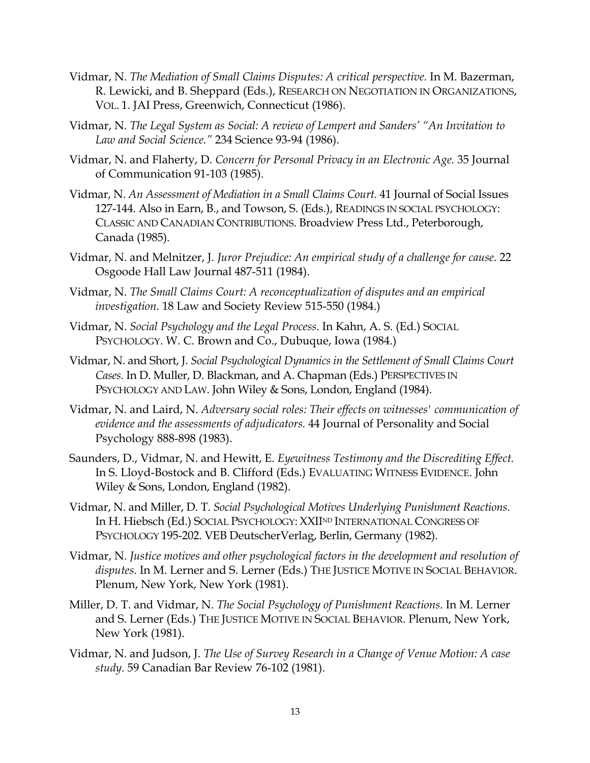- Vidmar, N. *The Mediation of Small Claims Disputes: A critical perspective.* In M. Bazerman, R. Lewicki, and B. Sheppard (Eds.), RESEARCH ON NEGOTIATION IN ORGANIZATIONS, VOL. 1. JAI Press, Greenwich, Connecticut (1986).
- Vidmar, N. *The Legal System as Social: A review of Lempert and Sanders' "An Invitation to Law and Social Science."* 234 Science 93-94 (1986).
- Vidmar, N. and Flaherty, D. *Concern for Personal Privacy in an Electronic Age.* 35 Journal of Communication 91-103 (1985).
- Vidmar, N. *An Assessment of Mediation in a Small Claims Court.* 41 Journal of Social Issues 127-144. Also in Earn, B., and Towson, S. (Eds.), READINGS IN SOCIAL PSYCHOLOGY: CLASSIC AND CANADIAN CONTRIBUTIONS. Broadview Press Ltd., Peterborough, Canada (1985).
- Vidmar, N. and Melnitzer, J. *Juror Prejudice: An empirical study of a challenge for cause.* 22 Osgoode Hall Law Journal 487-511 (1984).
- Vidmar, N. *The Small Claims Court: A reconceptualization of disputes and an empirical investigation.* 18 Law and Society Review 515-550 (1984.)
- Vidmar, N. *Social Psychology and the Legal Process.* In Kahn, A. S. (Ed.) SOCIAL PSYCHOLOGY. W. C. Brown and Co., Dubuque, Iowa (1984.)
- Vidmar, N. and Short, J. *Social Psychological Dynamics in the Settlement of Small Claims Court Cases.* In D. Muller, D. Blackman, and A. Chapman (Eds.) PERSPECTIVES IN PSYCHOLOGY AND LAW. John Wiley & Sons, London, England (1984).
- Vidmar, N. and Laird, N. *Adversary social roles: Their effects on witnesses' communication of evidence and the assessments of adjudicators.* 44 Journal of Personality and Social Psychology 888-898 (1983).
- Saunders, D., Vidmar, N. and Hewitt, E. *Eyewitness Testimony and the Discrediting Effect.* In S. Lloyd-Bostock and B. Clifford (Eds.) EVALUATING WITNESS EVIDENCE. John Wiley & Sons, London, England (1982).
- Vidmar, N. and Miller, D. T. *Social Psychological Motives Underlying Punishment Reactions.* In H. Hiebsch (Ed.) SOCIAL PSYCHOLOGY: XXIIND INTERNATIONAL CONGRESS OF PSYCHOLOGY 195-202. VEB DeutscherVerlag, Berlin, Germany (1982).
- Vidmar, N. *Justice motives and other psychological factors in the development and resolution of disputes*. In M. Lerner and S. Lerner (Eds.) THE JUSTICE MOTIVE IN SOCIAL BEHAVIOR. Plenum, New York, New York (1981).
- Miller, D. T. and Vidmar, N. *The Social Psychology of Punishment Reactions*. In M. Lerner and S. Lerner (Eds.) THE JUSTICE MOTIVE IN SOCIAL BEHAVIOR. Plenum, New York, New York (1981).
- Vidmar, N. and Judson, J. *The Use of Survey Research in a Change of Venue Motion: A case study.* 59 Canadian Bar Review 76-102 (1981).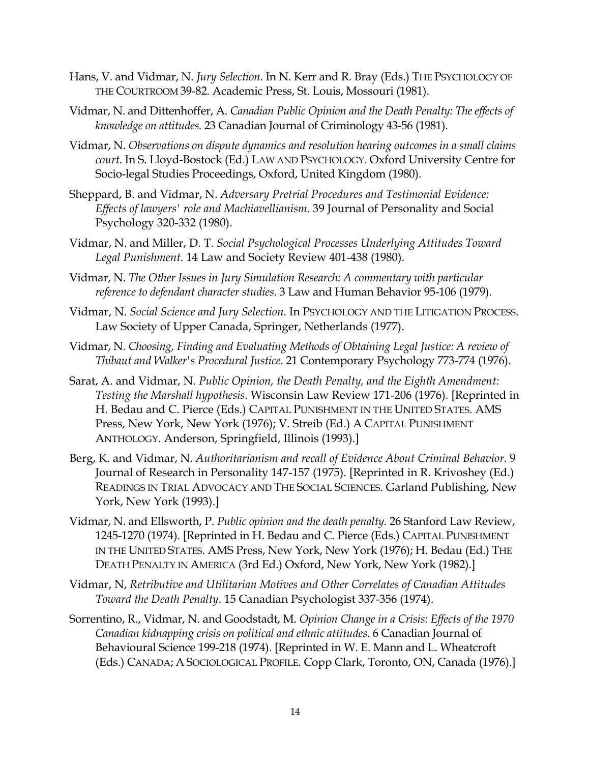- Hans, V. and Vidmar, N. *Jury Selection.* In N. Kerr and R. Bray (Eds.) THE PSYCHOLOGY OF THE COURTROOM 39-82. Academic Press, St. Louis, Mossouri (1981).
- Vidmar, N. and Dittenhoffer, A. *Canadian Public Opinion and the Death Penalty: The effects of knowledge on attitudes.* 23 Canadian Journal of Criminology 43-56 (1981).
- Vidmar, N. *Observations on dispute dynamics and resolution hearing outcomes in a small claims court*. In S. Lloyd-Bostock (Ed.) LAW AND PSYCHOLOGY. Oxford University Centre for Socio-legal Studies Proceedings, Oxford, United Kingdom (1980).
- Sheppard, B. and Vidmar, N. *Adversary Pretrial Procedures and Testimonial Evidence: Effects of lawyers' role and Machiavellianism.* 39 Journal of Personality and Social Psychology 320-332 (1980).
- Vidmar, N. and Miller, D. T. *Social Psychological Processes Underlying Attitudes Toward Legal Punishment.* 14 Law and Society Review 401-438 (1980).
- Vidmar, N. *The Other Issues in Jury Simulation Research: A commentary with particular reference to defendant character studies.* 3 Law and Human Behavior 95-106 (1979).
- Vidmar, N. *Social Science and Jury Selection.* In PSYCHOLOGY AND THE LITIGATION PROCESS. Law Society of Upper Canada, Springer, Netherlands (1977).
- Vidmar, N. *Choosing, Finding and Evaluating Methods of Obtaining Legal Justice: A review of Thibaut and Walker's Procedural Justice.* 21 Contemporary Psychology 773-774 (1976).
- Sarat, A. and Vidmar, N. *Public Opinion, the Death Penalty, and the Eighth Amendment: Testing the Marshall hypothesis*. Wisconsin Law Review 171-206 (1976). [Reprinted in H. Bedau and C. Pierce (Eds.) CAPITAL PUNISHMENT IN THE UNITED STATES. AMS Press, New York, New York (1976); V. Streib (Ed.) A CAPITAL PUNISHMENT ANTHOLOGY. Anderson, Springfield, Illinois (1993).]
- Berg, K. and Vidmar, N. *Authoritarianism and recall of Evidence About Criminal Behavior.* 9 Journal of Research in Personality 147-157 (1975). [Reprinted in R. Krivoshey (Ed.) READINGS IN TRIAL ADVOCACY AND THE SOCIAL SCIENCES. Garland Publishing, New York, New York (1993).]
- Vidmar, N. and Ellsworth, P. *Public opinion and the death penalty.* 26 Stanford Law Review, 1245-1270 (1974). [Reprinted in H. Bedau and C. Pierce (Eds.) CAPITAL PUNISHMENT IN THE UNITED STATES. AMS Press, New York, New York (1976); H. Bedau (Ed.) THE DEATH PENALTY IN AMERICA (3rd Ed.) Oxford, New York, New York (1982).]
- Vidmar, N, *Retributive and Utilitarian Motives and Other Correlates of Canadian Attitudes Toward the Death Penalty*. 15 Canadian Psychologist 337-356 (1974).
- Sorrentino, R., Vidmar, N. and Goodstadt, M. *Opinion Change in a Crisis: Effects of the 1970 Canadian kidnapping crisis on political and ethnic attitudes*. 6 Canadian Journal of Behavioural Science 199-218 (1974). [Reprinted in W. E. Mann and L. Wheatcroft (Eds.) CANADA; A SOCIOLOGICAL PROFILE. Copp Clark, Toronto, ON, Canada (1976).]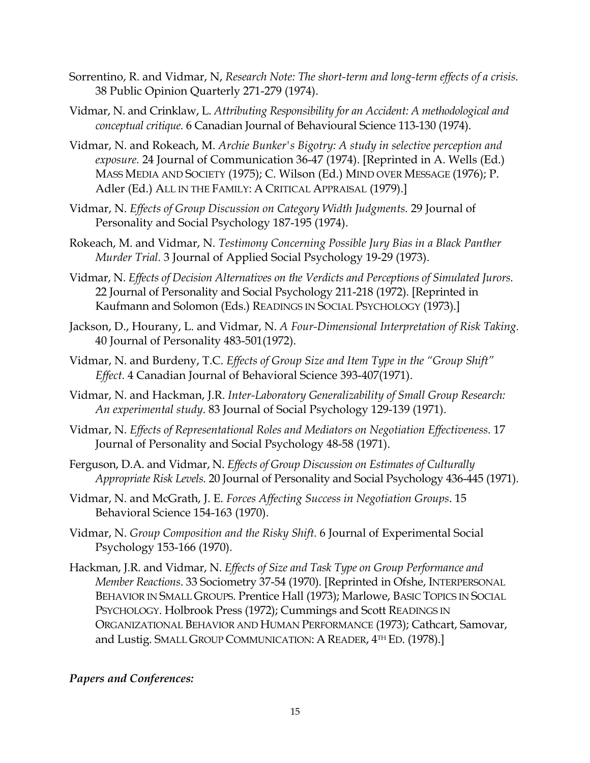- Sorrentino, R. and Vidmar, N, *Research Note: The short-term and long-term effects of a crisis.* 38 Public Opinion Quarterly 271-279 (1974).
- Vidmar, N. and Crinklaw, L. *Attributing Responsibility for an Accident: A methodological and conceptual critique.* 6 Canadian Journal of Behavioural Science 113-130 (1974).
- Vidmar, N. and Rokeach, M. *Archie Bunker's Bigotry: A study in selective perception and exposure.* 24 Journal of Communication 36-47 (1974). [Reprinted in A. Wells (Ed.) MASS MEDIA AND SOCIETY (1975); C. Wilson (Ed.) MIND OVER MESSAGE (1976); P. Adler (Ed.) ALL IN THE FAMILY: A CRITICAL APPRAISAL (1979).]
- Vidmar, N. *Effects of Group Discussion on Category Width Judgments.* 29 Journal of Personality and Social Psychology 187-195 (1974).
- Rokeach, M. and Vidmar, N. *Testimony Concerning Possible Jury Bias in a Black Panther Murder Trial.* 3 Journal of Applied Social Psychology 19-29 (1973).
- Vidmar, N. *Effects of Decision Alternatives on the Verdicts and Perceptions of Simulated Jurors.* 22 Journal of Personality and Social Psychology 211-218 (1972). [Reprinted in Kaufmann and Solomon (Eds.) READINGS IN SOCIAL PSYCHOLOGY (1973).]
- Jackson, D., Hourany, L. and Vidmar, N. *A Four-Dimensional Interpretation of Risk Taking.* 40 Journal of Personality 483-501(1972).
- Vidmar, N. and Burdeny, T.C. *Effects of Group Size and Item Type in the "Group Shift" Effect.* 4 Canadian Journal of Behavioral Science 393-407(1971).
- Vidmar, N. and Hackman, J.R. *Inter-Laboratory Generalizability of Small Group Research: An experimental study*. 83 Journal of Social Psychology 129-139 (1971).
- Vidmar, N. *Effects of Representational Roles and Mediators on Negotiation Effectiveness.* 17 Journal of Personality and Social Psychology 48-58 (1971).
- Ferguson, D.A. and Vidmar, N. *Effects of Group Discussion on Estimates of Culturally Appropriate Risk Levels.* 20 Journal of Personality and Social Psychology 436-445 (1971).
- Vidmar, N. and McGrath, J. E. *Forces Affecting Success in Negotiation Groups*. 15 Behavioral Science 154-163 (1970).
- Vidmar, N. *Group Composition and the Risky Shift.* 6 Journal of Experimental Social Psychology 153-166 (1970).
- Hackman, J.R. and Vidmar, N. *Effects of Size and Task Type on Group Performance and Member Reactions*. 33 Sociometry 37-54 (1970). [Reprinted in Ofshe, INTERPERSONAL BEHAVIOR IN SMALL GROUPS. Prentice Hall (1973); Marlowe, BASIC TOPICS IN SOCIAL PSYCHOLOGY. Holbrook Press (1972); Cummings and Scott READINGS IN ORGANIZATIONAL BEHAVIOR AND HUMAN PERFORMANCE (1973); Cathcart, Samovar, and Lustig. SMALL GROUP COMMUNICATION: A READER, 4TH ED. (1978).]

#### *Papers and Conferences:*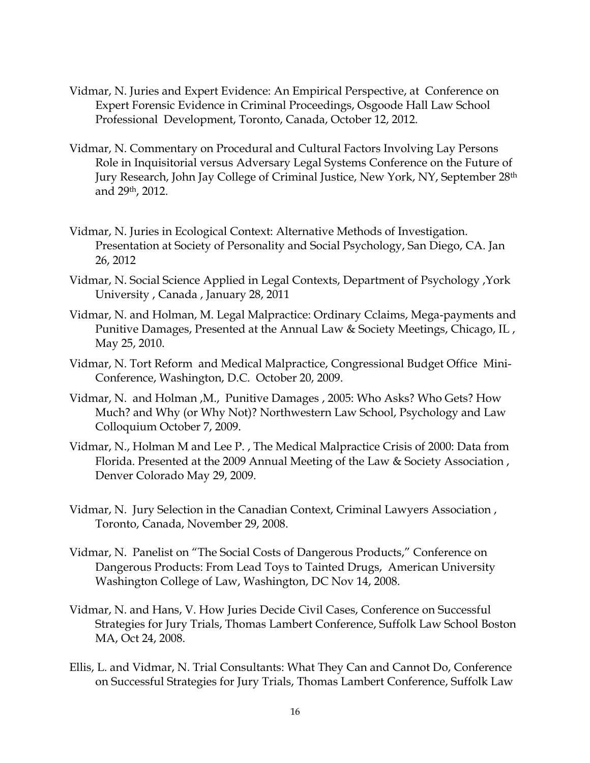- Vidmar, N. Juries and Expert Evidence: An Empirical Perspective, at Conference on Expert Forensic Evidence in Criminal Proceedings, Osgoode Hall Law School Professional Development, Toronto, Canada, October 12, 2012.
- Vidmar, N. Commentary on Procedural and Cultural Factors Involving Lay Persons Role in Inquisitorial versus Adversary Legal Systems Conference on the Future of Jury Research, John Jay College of Criminal Justice, New York, NY, September 28th and 29th, 2012.
- Vidmar, N. Juries in Ecological Context: Alternative Methods of Investigation. Presentation at Society of Personality and Social Psychology, San Diego, CA. Jan 26, 2012
- Vidmar, N. Social Science Applied in Legal Contexts, Department of Psychology ,York University , Canada , January 28, 2011
- Vidmar, N. and Holman, M. Legal Malpractice: Ordinary Cclaims, Mega-payments and Punitive Damages, Presented at the Annual Law & Society Meetings, Chicago, IL , May 25, 2010.
- Vidmar, N. Tort Reform and Medical Malpractice, Congressional Budget Office Mini-Conference, Washington, D.C. October 20, 2009.
- Vidmar, N. and Holman ,M., Punitive Damages , 2005: Who Asks? Who Gets? How Much? and Why (or Why Not)? Northwestern Law School, Psychology and Law Colloquium October 7, 2009.
- Vidmar, N., Holman M and Lee P. , The Medical Malpractice Crisis of 2000: Data from Florida. Presented at the 2009 Annual Meeting of the Law & Society Association , Denver Colorado May 29, 2009.
- Vidmar, N. Jury Selection in the Canadian Context, Criminal Lawyers Association , Toronto, Canada, November 29, 2008.
- Vidmar, N. Panelist on "The Social Costs of Dangerous Products," Conference on Dangerous Products: From Lead Toys to Tainted Drugs, American University Washington College of Law, Washington, DC Nov 14, 2008.
- Vidmar, N. and Hans, V. How Juries Decide Civil Cases, Conference on Successful Strategies for Jury Trials, Thomas Lambert Conference, Suffolk Law School Boston MA, Oct 24, 2008.
- Ellis, L. and Vidmar, N. Trial Consultants: What They Can and Cannot Do, Conference on Successful Strategies for Jury Trials, Thomas Lambert Conference, Suffolk Law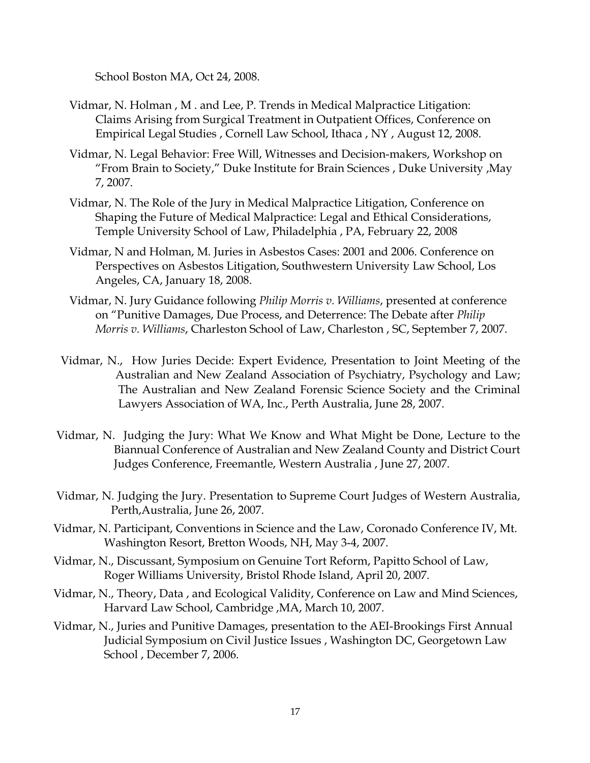School Boston MA, Oct 24, 2008.

- Vidmar, N. Holman , M . and Lee, P. Trends in Medical Malpractice Litigation: Claims Arising from Surgical Treatment in Outpatient Offices, Conference on Empirical Legal Studies , Cornell Law School, Ithaca , NY , August 12, 2008.
- Vidmar, N. Legal Behavior: Free Will, Witnesses and Decision-makers, Workshop on "From Brain to Society," Duke Institute for Brain Sciences , Duke University ,May 7, 2007.
- Vidmar, N. The Role of the Jury in Medical Malpractice Litigation, Conference on Shaping the Future of Medical Malpractice: Legal and Ethical Considerations, Temple University School of Law, Philadelphia , PA, February 22, 2008
- Vidmar, N and Holman, M. Juries in Asbestos Cases: 2001 and 2006. Conference on Perspectives on Asbestos Litigation, Southwestern University Law School, Los Angeles, CA, January 18, 2008.
- Vidmar, N. Jury Guidance following *Philip Morris v. Williams*, presented at conference on "Punitive Damages, Due Process, and Deterrence: The Debate after *Philip Morris v. Williams*, Charleston School of Law, Charleston , SC, September 7, 2007.
- Vidmar, N., How Juries Decide: Expert Evidence, Presentation to Joint Meeting of the Australian and New Zealand Association of Psychiatry, Psychology and Law; The Australian and New Zealand Forensic Science Society and the Criminal Lawyers Association of WA, Inc., Perth Australia, June 28, 2007.
- Vidmar, N. Judging the Jury: What We Know and What Might be Done, Lecture to the Biannual Conference of Australian and New Zealand County and District Court Judges Conference, Freemantle, Western Australia , June 27, 2007.
- Vidmar, N. Judging the Jury. Presentation to Supreme Court Judges of Western Australia, Perth,Australia, June 26, 2007.
- Vidmar, N. Participant, Conventions in Science and the Law, Coronado Conference IV, Mt. Washington Resort, Bretton Woods, NH, May 3-4, 2007.
- Vidmar, N., Discussant, Symposium on Genuine Tort Reform, Papitto School of Law, Roger Williams University, Bristol Rhode Island, April 20, 2007.
- Vidmar, N., Theory, Data , and Ecological Validity, Conference on Law and Mind Sciences, Harvard Law School, Cambridge ,MA, March 10, 2007.
- Vidmar, N., Juries and Punitive Damages, presentation to the AEI-Brookings First Annual Judicial Symposium on Civil Justice Issues , Washington DC, Georgetown Law School , December 7, 2006.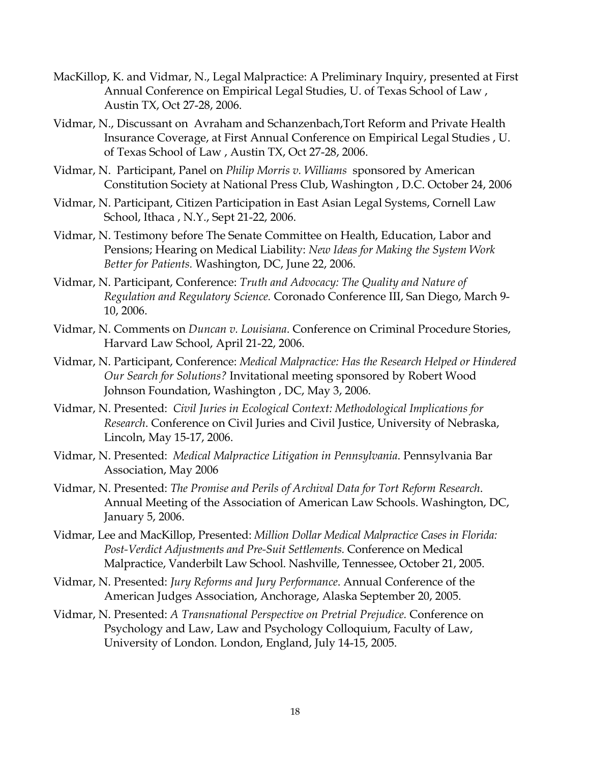- MacKillop, K. and Vidmar, N., Legal Malpractice: A Preliminary Inquiry, presented at First Annual Conference on Empirical Legal Studies, U. of Texas School of Law , Austin TX, Oct 27-28, 2006.
- Vidmar, N., Discussant on Avraham and Schanzenbach,Tort Reform and Private Health Insurance Coverage, at First Annual Conference on Empirical Legal Studies , U. of Texas School of Law , Austin TX, Oct 27-28, 2006.
- Vidmar, N. Participant, Panel on *Philip Morris v. Williams* sponsored by American Constitution Society at National Press Club, Washington , D.C. October 24, 2006
- Vidmar, N. Participant, Citizen Participation in East Asian Legal Systems, Cornell Law School, Ithaca , N.Y., Sept 21-22, 2006.
- Vidmar, N. Testimony before The Senate Committee on Health, Education, Labor and Pensions; Hearing on Medical Liability: *New Ideas for Making the System Work Better for Patients.* Washington, DC, June 22, 2006.
- Vidmar, N. Participant, Conference: *Truth and Advocacy: The Quality and Nature of Regulation and Regulatory Science.* Coronado Conference III, San Diego, March 9- 10, 2006.
- Vidmar, N. Comments on *Duncan v. Louisiana*. Conference on Criminal Procedure Stories, Harvard Law School, April 21-22, 2006.
- Vidmar, N. Participant, Conference: *Medical Malpractice: Has the Research Helped or Hindered Our Search for Solutions?* Invitational meeting sponsored by Robert Wood Johnson Foundation, Washington , DC, May 3, 2006.
- Vidmar, N. Presented: *Civil Juries in Ecological Context: Methodological Implications for Research*. Conference on Civil Juries and Civil Justice, University of Nebraska, Lincoln, May 15-17, 2006.
- Vidmar, N. Presented: *Medical Malpractice Litigation in Pennsylvania*. Pennsylvania Bar Association, May 2006
- Vidmar, N. Presented: *The Promise and Perils of Archival Data for Tort Reform Research*. Annual Meeting of the Association of American Law Schools. Washington, DC, January 5, 2006.
- Vidmar, Lee and MacKillop, Presented: *Million Dollar Medical Malpractice Cases in Florida: Post-Verdict Adjustments and Pre-Suit Settlements.* Conference on Medical Malpractice, Vanderbilt Law School. Nashville, Tennessee, October 21, 2005.
- Vidmar, N. Presented: *Jury Reforms and Jury Performance*. Annual Conference of the American Judges Association, Anchorage, Alaska September 20, 2005.
- Vidmar, N. Presented: *A Transnational Perspective on Pretrial Prejudice.* Conference on Psychology and Law, Law and Psychology Colloquium, Faculty of Law, University of London. London, England, July 14-15, 2005.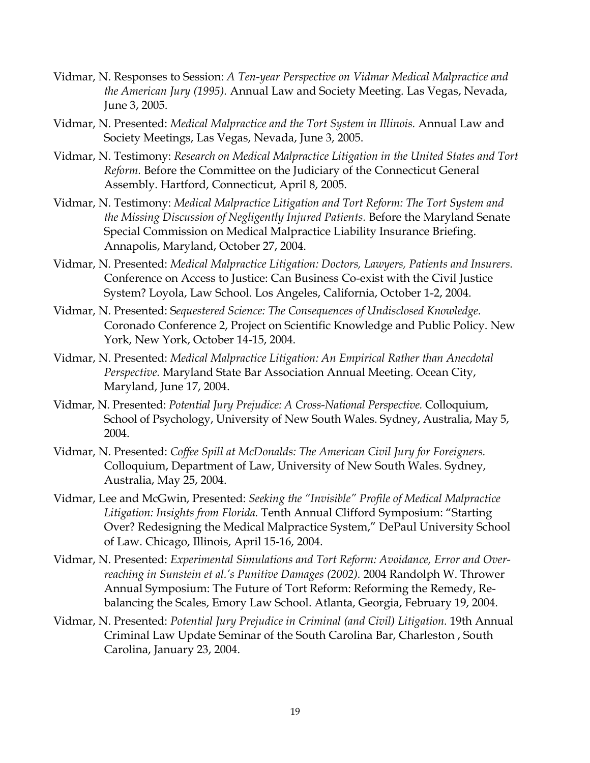- Vidmar, N. Responses to Session: *A Ten-year Perspective on Vidmar Medical Malpractice and the American Jury (1995).* Annual Law and Society Meeting. Las Vegas, Nevada, June 3, 2005.
- Vidmar, N. Presented: *Medical Malpractice and the Tort System in Illinois.* Annual Law and Society Meetings, Las Vegas, Nevada, June 3, 2005.
- Vidmar, N. Testimony: *Research on Medical Malpractice Litigation in the United States and Tort Reform.* Before the Committee on the Judiciary of the Connecticut General Assembly. Hartford, Connecticut, April 8, 2005.
- Vidmar, N. Testimony: *Medical Malpractice Litigation and Tort Reform: The Tort System and the Missing Discussion of Negligently Injured Patients.* Before the Maryland Senate Special Commission on Medical Malpractice Liability Insurance Briefing. Annapolis, Maryland, October 27, 2004.
- Vidmar, N. Presented: *Medical Malpractice Litigation: Doctors, Lawyers, Patients and Insurers.* Conference on Access to Justice: Can Business Co-exist with the Civil Justice System? Loyola, Law School. Los Angeles, California, October 1-2, 2004.
- Vidmar, N. Presented: S*equestered Science: The Consequences of Undisclosed Knowledge.* Coronado Conference 2, Project on Scientific Knowledge and Public Policy. New York, New York, October 14-15, 2004.
- Vidmar, N. Presented: *Medical Malpractice Litigation: An Empirical Rather than Anecdotal Perspective.* Maryland State Bar Association Annual Meeting. Ocean City, Maryland, June 17, 2004.
- Vidmar, N. Presented: *Potential Jury Prejudice: A Cross-National Perspective.* Colloquium, School of Psychology, University of New South Wales. Sydney, Australia, May 5, 2004.
- Vidmar, N. Presented: *Coffee Spill at McDonalds: The American Civil Jury for Foreigners.* Colloquium, Department of Law, University of New South Wales. Sydney, Australia, May 25, 2004.
- Vidmar, Lee and McGwin, Presented: *Seeking the "Invisible" Profile of Medical Malpractice Litigation: Insights from Florida.* Tenth Annual Clifford Symposium: "Starting Over? Redesigning the Medical Malpractice System," DePaul University School of Law. Chicago, Illinois, April 15-16, 2004.
- Vidmar, N. Presented: *Experimental Simulations and Tort Reform: Avoidance, Error and Overreaching in Sunstein et al.'s Punitive Damages (2002).* 2004 Randolph W. Thrower Annual Symposium: The Future of Tort Reform: Reforming the Remedy, Rebalancing the Scales, Emory Law School. Atlanta, Georgia, February 19, 2004.
- Vidmar, N. Presented: *Potential Jury Prejudice in Criminal (and Civil) Litigation.* 19th Annual Criminal Law Update Seminar of the South Carolina Bar, Charleston , South Carolina, January 23, 2004.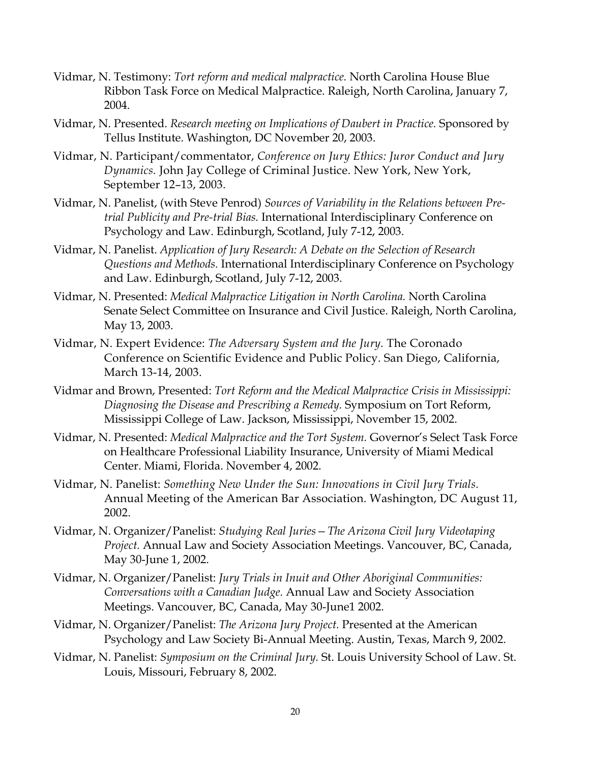- Vidmar, N. Testimony: *Tort reform and medical malpractice.* North Carolina House Blue Ribbon Task Force on Medical Malpractice. Raleigh, North Carolina, January 7, 2004.
- Vidmar, N. Presented. *Research meeting on Implications of Daubert in Practice.* Sponsored by Tellus Institute. Washington, DC November 20, 2003.
- Vidmar, N. Participant/commentator, *Conference on Jury Ethics: Juror Conduct and Jury Dynamics.* John Jay College of Criminal Justice. New York, New York, September 12–13, 2003.
- Vidmar, N. Panelist, (with Steve Penrod) *Sources of Variability in the Relations between Pretrial Publicity and Pre-trial Bias.* International Interdisciplinary Conference on Psychology and Law. Edinburgh, Scotland, July 7-12, 2003.
- Vidmar, N. Panelist. *Application of Jury Research: A Debate on the Selection of Research Questions and Methods.* International Interdisciplinary Conference on Psychology and Law. Edinburgh, Scotland, July 7-12, 2003.
- Vidmar, N. Presented: *Medical Malpractice Litigation in North Carolina.* North Carolina Senate Select Committee on Insurance and Civil Justice. Raleigh, North Carolina, May 13, 2003.
- Vidmar, N. Expert Evidence: *The Adversary System and the Jury.* The Coronado Conference on Scientific Evidence and Public Policy. San Diego, California, March 13-14, 2003.
- Vidmar and Brown, Presented: *Tort Reform and the Medical Malpractice Crisis in Mississippi: Diagnosing the Disease and Prescribing a Remedy.* Symposium on Tort Reform, Mississippi College of Law. Jackson, Mississippi, November 15, 2002.
- Vidmar, N. Presented: *Medical Malpractice and the Tort System.* Governor's Select Task Force on Healthcare Professional Liability Insurance, University of Miami Medical Center. Miami, Florida. November 4, 2002.
- Vidmar, N. Panelist: *Something New Under the Sun: Innovations in Civil Jury Trials.* Annual Meeting of the American Bar Association. Washington, DC August 11, 2002.
- Vidmar, N. Organizer/Panelist: *Studying Real Juries—The Arizona Civil Jury Videotaping Project.* Annual Law and Society Association Meetings. Vancouver, BC, Canada, May 30-June 1, 2002.
- Vidmar, N. Organizer/Panelist: *Jury Trials in Inuit and Other Aboriginal Communities: Conversations with a Canadian Judge.* Annual Law and Society Association Meetings. Vancouver, BC, Canada, May 30-June1 2002.
- Vidmar, N. Organizer/Panelist: *The Arizona Jury Project.* Presented at the American Psychology and Law Society Bi-Annual Meeting. Austin, Texas, March 9, 2002.
- Vidmar, N. Panelist: *Symposium on the Criminal Jury.* St. Louis University School of Law. St. Louis, Missouri, February 8, 2002.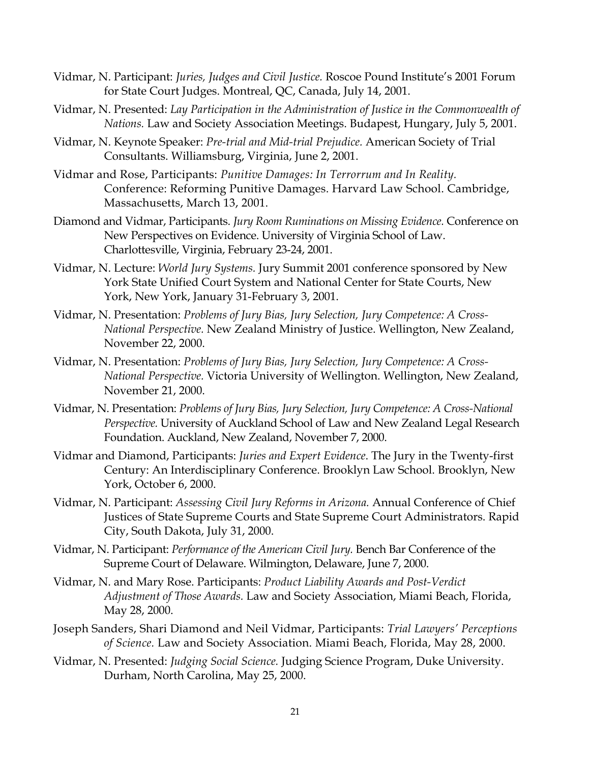- Vidmar, N. Participant: *Juries, Judges and Civil Justice.* Roscoe Pound Institute's 2001 Forum for State Court Judges. Montreal, QC, Canada, July 14, 2001.
- Vidmar, N. Presented: *Lay Participation in the Administration of Justice in the Commonwealth of Nations.* Law and Society Association Meetings. Budapest, Hungary, July 5, 2001.
- Vidmar, N. Keynote Speaker: *Pre-trial and Mid-trial Prejudice.* American Society of Trial Consultants. Williamsburg, Virginia, June 2, 2001.
- Vidmar and Rose, Participants: *Punitive Damages: In Terrorrum and In Reality.* Conference: Reforming Punitive Damages. Harvard Law School. Cambridge, Massachusetts, March 13, 2001.
- Diamond and Vidmar, Participants. *Jury Room Ruminations on Missing Evidence.* Conference on New Perspectives on Evidence. University of Virginia School of Law. Charlottesville, Virginia, February 23-24, 2001.
- Vidmar, N. Lecture: *World Jury Systems.* Jury Summit 2001 conference sponsored by New York State Unified Court System and National Center for State Courts, New York, New York, January 31-February 3, 2001.
- Vidmar, N. Presentation: *Problems of Jury Bias, Jury Selection, Jury Competence: A Cross-National Perspective.* New Zealand Ministry of Justice. Wellington, New Zealand, November 22, 2000.
- Vidmar, N. Presentation: *Problems of Jury Bias, Jury Selection, Jury Competence: A Cross-National Perspective.* Victoria University of Wellington. Wellington, New Zealand, November 21, 2000.
- Vidmar, N. Presentation: *Problems of Jury Bias, Jury Selection, Jury Competence: A Cross-National Perspective.* University of Auckland School of Law and New Zealand Legal Research Foundation. Auckland, New Zealand, November 7, 2000.
- Vidmar and Diamond, Participants: *Juries and Expert Evidence*. The Jury in the Twenty-first Century: An Interdisciplinary Conference. Brooklyn Law School. Brooklyn, New York, October 6, 2000.
- Vidmar, N. Participant: *Assessing Civil Jury Reforms in Arizona.* Annual Conference of Chief Justices of State Supreme Courts and State Supreme Court Administrators. Rapid City, South Dakota, July 31, 2000.
- Vidmar, N. Participant: *Performance of the American Civil Jury.* Bench Bar Conference of the Supreme Court of Delaware. Wilmington, Delaware, June 7, 2000.
- Vidmar, N. and Mary Rose. Participants: *Product Liability Awards and Post-Verdict Adjustment of Those Awards.* Law and Society Association, Miami Beach, Florida, May 28, 2000.
- Joseph Sanders, Shari Diamond and Neil Vidmar, Participants: *Trial Lawyers' Perceptions of Science.* Law and Society Association. Miami Beach, Florida, May 28, 2000.
- Vidmar, N. Presented: *Judging Social Science.* Judging Science Program, Duke University. Durham, North Carolina, May 25, 2000.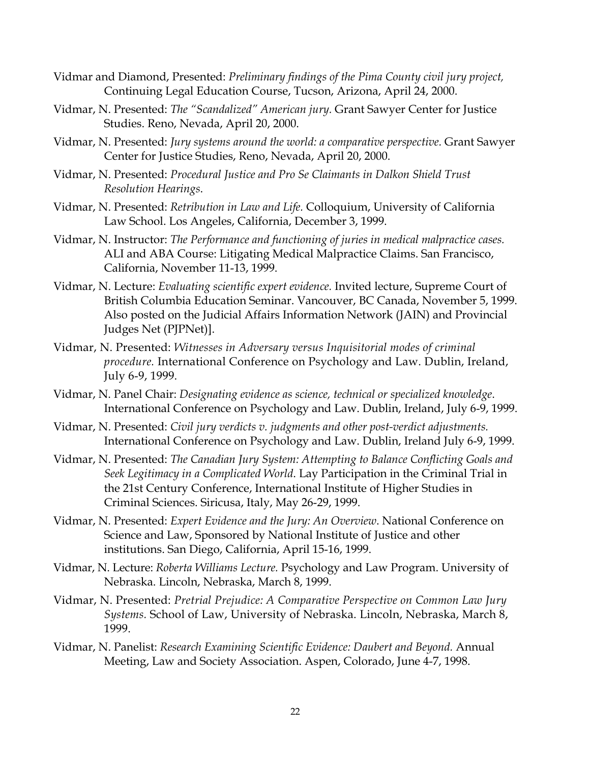- Vidmar and Diamond, Presented: *Preliminary findings of the Pima County civil jury project,* Continuing Legal Education Course, Tucson, Arizona, April 24, 2000.
- Vidmar, N. Presented: *The "Scandalized" American jury.* Grant Sawyer Center for Justice Studies. Reno, Nevada, April 20, 2000.
- Vidmar, N. Presented: *Jury systems around the world: a comparative perspective.* Grant Sawyer Center for Justice Studies, Reno, Nevada, April 20, 2000.
- Vidmar, N. Presented: *Procedural Justice and Pro Se Claimants in Dalkon Shield Trust Resolution Hearings*.
- Vidmar, N. Presented: *Retribution in Law and Life.* Colloquium, University of California Law School. Los Angeles, California, December 3, 1999.
- Vidmar, N. Instructor: *The Performance and functioning of juries in medical malpractice cases.* ALI and ABA Course: Litigating Medical Malpractice Claims. San Francisco, California, November 11-13, 1999.
- Vidmar, N. Lecture: *Evaluating scientific expert evidence.* Invited lecture, Supreme Court of British Columbia Education Seminar. Vancouver, BC Canada, November 5, 1999. Also posted on the Judicial Affairs Information Network (JAIN) and Provincial Judges Net (PJPNet)].
- Vidmar, N. Presented: *Witnesses in Adversary versus Inquisitorial modes of criminal procedure.* International Conference on Psychology and Law. Dublin, Ireland, July 6-9, 1999.
- Vidmar, N. Panel Chair: *Designating evidence as science, technical or specialized knowledge*. International Conference on Psychology and Law. Dublin, Ireland, July 6-9, 1999.
- Vidmar, N. Presented: *Civil jury verdicts v. judgments and other post-verdict adjustments.* International Conference on Psychology and Law. Dublin, Ireland July 6-9, 1999.
- Vidmar, N. Presented: *The Canadian Jury System: Attempting to Balance Conflicting Goals and Seek Legitimacy in a Complicated World*. Lay Participation in the Criminal Trial in the 21st Century Conference, International Institute of Higher Studies in Criminal Sciences. Siricusa, Italy, May 26-29, 1999.
- Vidmar, N. Presented: *Expert Evidence and the Jury: An Overview*. National Conference on Science and Law, Sponsored by National Institute of Justice and other institutions. San Diego, California, April 15-16, 1999.
- Vidmar, N. Lecture: *Roberta Williams Lecture.* Psychology and Law Program. University of Nebraska. Lincoln, Nebraska, March 8, 1999.
- Vidmar, N. Presented: *Pretrial Prejudice: A Comparative Perspective on Common Law Jury Systems.* School of Law, University of Nebraska. Lincoln, Nebraska, March 8, 1999.
- Vidmar, N. Panelist: *Research Examining Scientific Evidence: Daubert and Beyond.* Annual Meeting, Law and Society Association. Aspen, Colorado, June 4-7, 1998.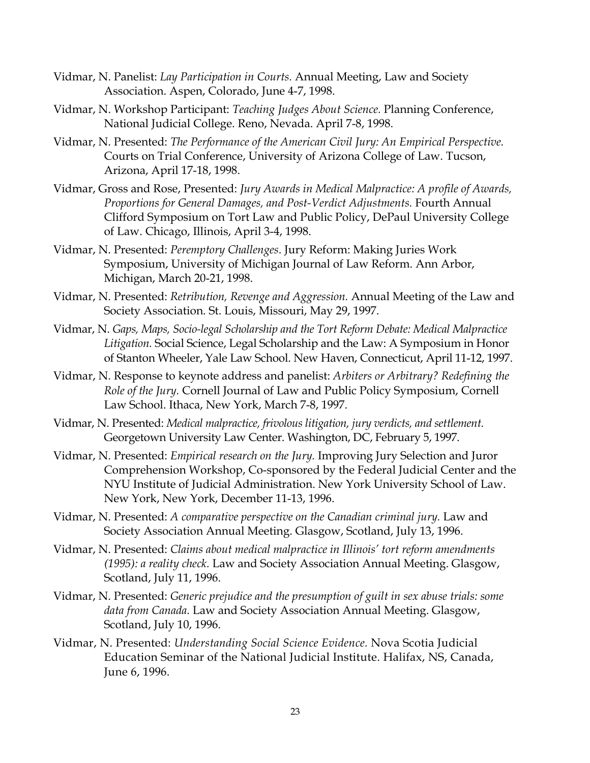- Vidmar, N. Panelist: *Lay Participation in Courts.* Annual Meeting, Law and Society Association. Aspen, Colorado, June 4-7, 1998.
- Vidmar, N. Workshop Participant: *Teaching Judges About Science.* Planning Conference, National Judicial College. Reno, Nevada. April 7-8, 1998.
- Vidmar, N. Presented: *The Performance of the American Civil Jury: An Empirical Perspective.* Courts on Trial Conference, University of Arizona College of Law. Tucson, Arizona, April 17-18, 1998.
- Vidmar, Gross and Rose, Presented: *Jury Awards in Medical Malpractice: A profile of Awards, Proportions for General Damages, and Post-Verdict Adjustments.* Fourth Annual Clifford Symposium on Tort Law and Public Policy, DePaul University College of Law. Chicago, Illinois, April 3-4, 1998.
- Vidmar, N. Presented: *Peremptory Challenges*. Jury Reform: Making Juries Work Symposium, University of Michigan Journal of Law Reform. Ann Arbor, Michigan, March 20-21, 1998.
- Vidmar, N. Presented: *Retribution, Revenge and Aggression.* Annual Meeting of the Law and Society Association. St. Louis, Missouri, May 29, 1997.
- Vidmar, N. *Gaps, Maps, Socio-legal Scholarship and the Tort Reform Debate: Medical Malpractice Litigation.* Social Science, Legal Scholarship and the Law: A Symposium in Honor of Stanton Wheeler, Yale Law School. New Haven, Connecticut, April 11-12, 1997.
- Vidmar, N. Response to keynote address and panelist: *Arbiters or Arbitrary? Redefining the Role of the Jury.* Cornell Journal of Law and Public Policy Symposium, Cornell Law School. Ithaca, New York, March 7-8, 1997.
- Vidmar, N. Presented: *Medical malpractice, frivolous litigation, jury verdicts, and settlement.* Georgetown University Law Center. Washington, DC, February 5, 1997.
- Vidmar, N. Presented: *Empirical research on the Jury.* Improving Jury Selection and Juror Comprehension Workshop, Co-sponsored by the Federal Judicial Center and the NYU Institute of Judicial Administration. New York University School of Law. New York, New York, December 11-13, 1996.
- Vidmar, N. Presented: *A comparative perspective on the Canadian criminal jury.* Law and Society Association Annual Meeting. Glasgow, Scotland, July 13, 1996.
- Vidmar, N. Presented: *Claims about medical malpractice in Illinois' tort reform amendments (1995): a reality check.* Law and Society Association Annual Meeting. Glasgow, Scotland, July 11, 1996.
- Vidmar, N. Presented: *Generic prejudice and the presumption of guilt in sex abuse trials: some data from Canada.* Law and Society Association Annual Meeting. Glasgow, Scotland, July 10, 1996.
- Vidmar, N. Presented: *Understanding Social Science Evidence.* Nova Scotia Judicial Education Seminar of the National Judicial Institute. Halifax, NS, Canada, June 6, 1996.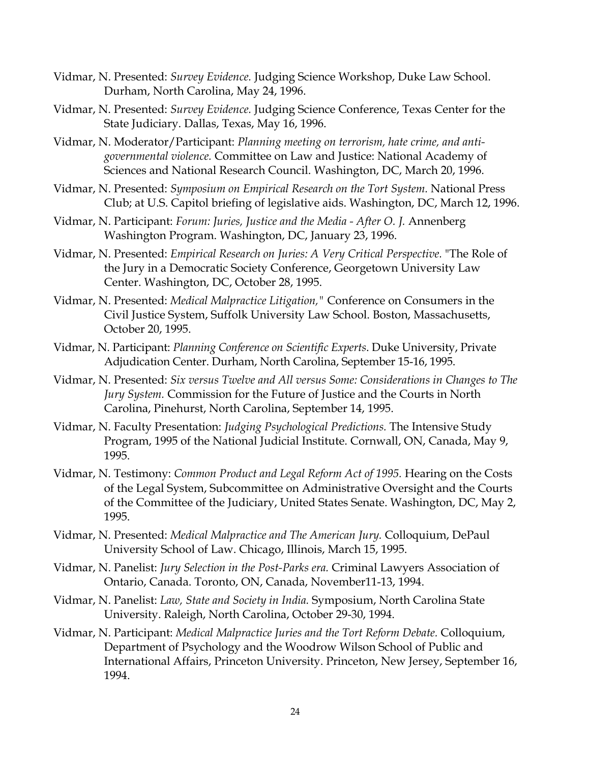- Vidmar, N. Presented: *Survey Evidence.* Judging Science Workshop, Duke Law School. Durham, North Carolina, May 24, 1996.
- Vidmar, N. Presented: *Survey Evidence.* Judging Science Conference, Texas Center for the State Judiciary. Dallas, Texas, May 16, 1996.
- Vidmar, N. Moderator/Participant: *Planning meeting on terrorism, hate crime, and antigovernmental violence.* Committee on Law and Justice: National Academy of Sciences and National Research Council. Washington, DC, March 20, 1996.
- Vidmar, N. Presented: *Symposium on Empirical Research on the Tort System.* National Press Club; at U.S. Capitol briefing of legislative aids. Washington, DC, March 12, 1996.
- Vidmar, N. Participant: *Forum: Juries, Justice and the Media - After O. J.* Annenberg Washington Program. Washington, DC, January 23, 1996.
- Vidmar, N. Presented: *Empirical Research on Juries: A Very Critical Perspective.* "The Role of the Jury in a Democratic Society Conference, Georgetown University Law Center. Washington, DC, October 28, 1995.
- Vidmar, N. Presented: *Medical Malpractice Litigation,"* Conference on Consumers in the Civil Justice System, Suffolk University Law School. Boston, Massachusetts, October 20, 1995.
- Vidmar, N. Participant: *Planning Conference on Scientific Experts*. Duke University, Private Adjudication Center. Durham, North Carolina, September 15-16, 1995.
- Vidmar, N. Presented: *Six versus Twelve and All versus Some: Considerations in Changes to The Jury System.* Commission for the Future of Justice and the Courts in North Carolina, Pinehurst, North Carolina, September 14, 1995.
- Vidmar, N. Faculty Presentation: *Judging Psychological Predictions.* The Intensive Study Program, 1995 of the National Judicial Institute. Cornwall, ON, Canada, May 9, 1995.
- Vidmar, N. Testimony: *Common Product and Legal Reform Act of 1995.* Hearing on the Costs of the Legal System, Subcommittee on Administrative Oversight and the Courts of the Committee of the Judiciary, United States Senate. Washington, DC, May 2, 1995.
- Vidmar, N. Presented: *Medical Malpractice and The American Jury.* Colloquium, DePaul University School of Law. Chicago, Illinois, March 15, 1995.
- Vidmar, N. Panelist: *Jury Selection in the Post-Parks era.* Criminal Lawyers Association of Ontario, Canada. Toronto, ON, Canada, November11-13, 1994.
- Vidmar, N. Panelist: *Law, State and Society in India.* Symposium, North Carolina State University. Raleigh, North Carolina, October 29-30, 1994.
- Vidmar, N. Participant: *Medical Malpractice Juries and the Tort Reform Debate.* Colloquium, Department of Psychology and the Woodrow Wilson School of Public and International Affairs, Princeton University. Princeton, New Jersey, September 16, 1994.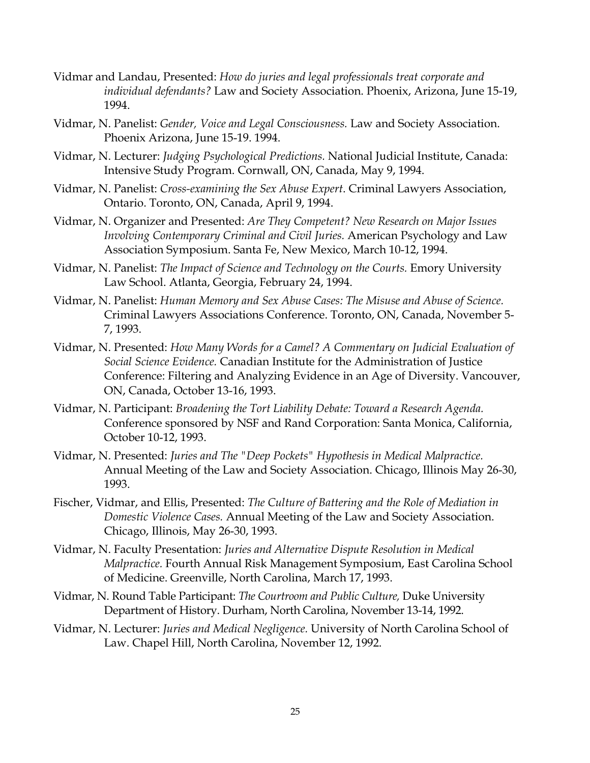- Vidmar and Landau, Presented: *How do juries and legal professionals treat corporate and individual defendants?* Law and Society Association. Phoenix, Arizona, June 15-19, 1994.
- Vidmar, N. Panelist: *Gender, Voice and Legal Consciousness.* Law and Society Association. Phoenix Arizona, June 15-19. 1994.
- Vidmar, N. Lecturer: *Judging Psychological Predictions.* National Judicial Institute, Canada: Intensive Study Program. Cornwall, ON, Canada, May 9, 1994.
- Vidmar, N. Panelist: *Cross-examining the Sex Abuse Expert*. Criminal Lawyers Association, Ontario. Toronto, ON, Canada, April 9, 1994.
- Vidmar, N. Organizer and Presented: *Are They Competent? New Research on Major Issues Involving Contemporary Criminal and Civil Juries.* American Psychology and Law Association Symposium. Santa Fe, New Mexico, March 10-12, 1994.
- Vidmar, N. Panelist: *The Impact of Science and Technology on the Courts.* Emory University Law School. Atlanta, Georgia, February 24, 1994.
- Vidmar, N. Panelist: *Human Memory and Sex Abuse Cases: The Misuse and Abuse of Science.* Criminal Lawyers Associations Conference. Toronto, ON, Canada, November 5- 7, 1993.
- Vidmar, N. Presented: *How Many Words for a Camel? A Commentary on Judicial Evaluation of Social Science Evidence.* Canadian Institute for the Administration of Justice Conference: Filtering and Analyzing Evidence in an Age of Diversity. Vancouver, ON, Canada, October 13-16, 1993.
- Vidmar, N. Participant: *Broadening the Tort Liability Debate: Toward a Research Agenda.* Conference sponsored by NSF and Rand Corporation: Santa Monica, California, October 10-12, 1993.
- Vidmar, N. Presented: *Juries and The "Deep Pockets" Hypothesis in Medical Malpractice.* Annual Meeting of the Law and Society Association. Chicago, Illinois May 26-30, 1993.
- Fischer, Vidmar, and Ellis, Presented: *The Culture of Battering and the Role of Mediation in Domestic Violence Cases.* Annual Meeting of the Law and Society Association. Chicago, Illinois, May 26-30, 1993.
- Vidmar, N. Faculty Presentation: *Juries and Alternative Dispute Resolution in Medical Malpractice.* Fourth Annual Risk Management Symposium, East Carolina School of Medicine. Greenville, North Carolina, March 17, 1993.
- Vidmar, N. Round Table Participant: *The Courtroom and Public Culture,* Duke University Department of History. Durham, North Carolina, November 13-14, 1992.
- Vidmar, N. Lecturer: *Juries and Medical Negligence.* University of North Carolina School of Law. Chapel Hill, North Carolina, November 12, 1992.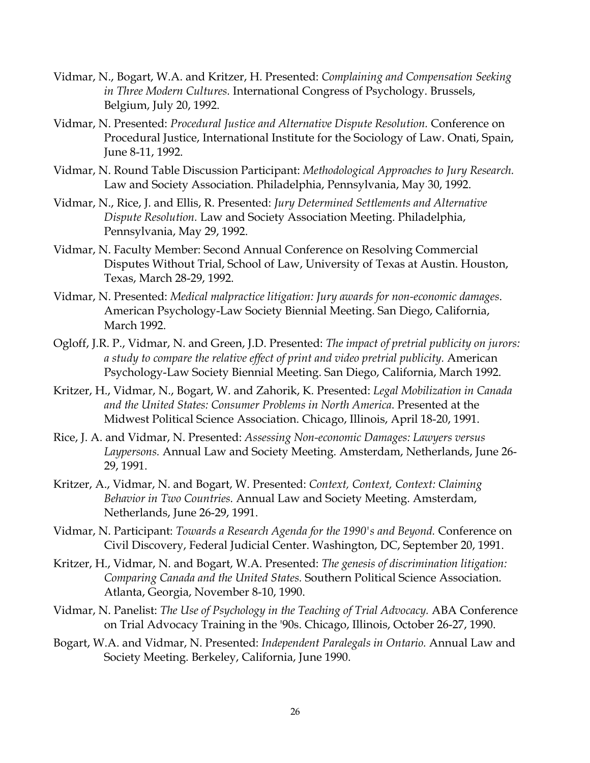- Vidmar, N., Bogart, W.A. and Kritzer, H. Presented: *Complaining and Compensation Seeking in Three Modern Cultures.* International Congress of Psychology. Brussels, Belgium, July 20, 1992.
- Vidmar, N. Presented: *Procedural Justice and Alternative Dispute Resolution.* Conference on Procedural Justice, International Institute for the Sociology of Law. Onati, Spain, June 8-11, 1992.
- Vidmar, N. Round Table Discussion Participant: *Methodological Approaches to Jury Research.* Law and Society Association. Philadelphia, Pennsylvania, May 30, 1992.
- Vidmar, N., Rice, J. and Ellis, R. Presented: *Jury Determined Settlements and Alternative Dispute Resolution.* Law and Society Association Meeting. Philadelphia, Pennsylvania, May 29, 1992.
- Vidmar, N. Faculty Member: Second Annual Conference on Resolving Commercial Disputes Without Trial, School of Law, University of Texas at Austin. Houston, Texas, March 28-29, 1992.
- Vidmar, N. Presented: *Medical malpractice litigation: Jury awards for non-economic damages*. American Psychology-Law Society Biennial Meeting. San Diego, California, March 1992.
- Ogloff, J.R. P., Vidmar, N. and Green, J.D. Presented: *The impact of pretrial publicity on jurors: a study to compare the relative effect of print and video pretrial publicity.* American Psychology-Law Society Biennial Meeting. San Diego, California, March 1992.
- Kritzer, H., Vidmar, N., Bogart, W. and Zahorik, K. Presented: *Legal Mobilization in Canada and the United States: Consumer Problems in North America*. Presented at the Midwest Political Science Association. Chicago, Illinois, April 18-20, 1991.
- Rice, J. A. and Vidmar, N. Presented: *Assessing Non-economic Damages: Lawyers versus Laypersons.* Annual Law and Society Meeting. Amsterdam, Netherlands, June 26- 29, 1991.
- Kritzer, A., Vidmar, N. and Bogart, W. Presented: *Context, Context, Context: Claiming Behavior in Two Countries.* Annual Law and Society Meeting. Amsterdam, Netherlands, June 26-29, 1991.
- Vidmar, N. Participant: *Towards a Research Agenda for the 1990's and Beyond.* Conference on Civil Discovery, Federal Judicial Center. Washington, DC, September 20, 1991.
- Kritzer, H., Vidmar, N. and Bogart, W.A. Presented: *The genesis of discrimination litigation: Comparing Canada and the United States.* Southern Political Science Association. Atlanta, Georgia, November 8-10, 1990.
- Vidmar, N. Panelist: *The Use of Psychology in the Teaching of Trial Advocacy.* ABA Conference on Trial Advocacy Training in the '90s. Chicago, Illinois, October 26-27, 1990.
- Bogart, W.A. and Vidmar, N. Presented: *Independent Paralegals in Ontario.* Annual Law and Society Meeting. Berkeley, California, June 1990.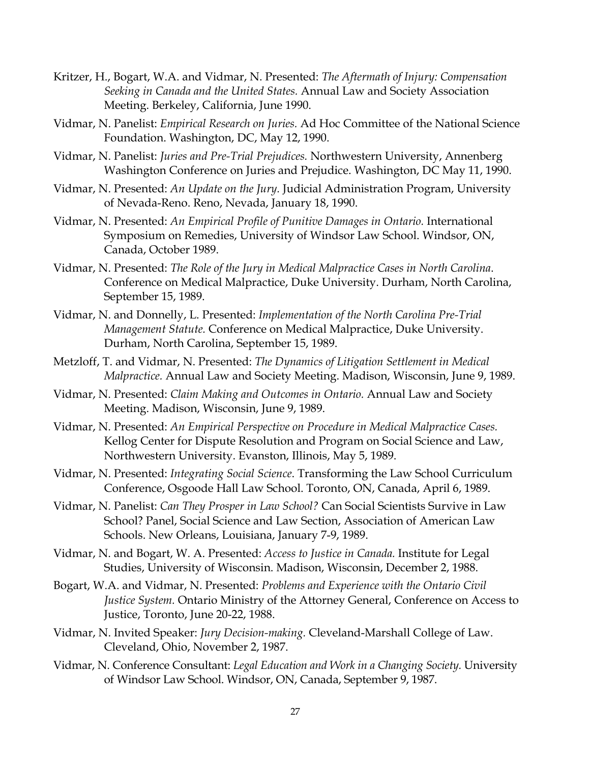- Kritzer, H., Bogart, W.A. and Vidmar, N. Presented: *The Aftermath of Injury: Compensation Seeking in Canada and the United States.* Annual Law and Society Association Meeting. Berkeley, California, June 1990.
- Vidmar, N. Panelist: *Empirical Research on Juries.* Ad Hoc Committee of the National Science Foundation. Washington, DC, May 12, 1990.
- Vidmar, N. Panelist: *Juries and Pre-Trial Prejudices.* Northwestern University, Annenberg Washington Conference on Juries and Prejudice. Washington, DC May 11, 1990.
- Vidmar, N. Presented: *An Update on the Jury.* Judicial Administration Program, University of Nevada-Reno. Reno, Nevada, January 18, 1990.
- Vidmar, N. Presented: *An Empirical Profile of Punitive Damages in Ontario.* International Symposium on Remedies, University of Windsor Law School. Windsor, ON, Canada, October 1989.
- Vidmar, N. Presented: *The Role of the Jury in Medical Malpractice Cases in North Carolina*. Conference on Medical Malpractice, Duke University. Durham, North Carolina, September 15, 1989.
- Vidmar, N. and Donnelly, L. Presented: *Implementation of the North Carolina Pre-Trial Management Statute.* Conference on Medical Malpractice, Duke University. Durham, North Carolina, September 15, 1989.
- Metzloff, T. and Vidmar, N. Presented: *The Dynamics of Litigation Settlement in Medical Malpractice.* Annual Law and Society Meeting. Madison, Wisconsin, June 9, 1989.
- Vidmar, N. Presented: *Claim Making and Outcomes in Ontario.* Annual Law and Society Meeting. Madison, Wisconsin, June 9, 1989.
- Vidmar, N. Presented: *An Empirical Perspective on Procedure in Medical Malpractice Cases.* Kellog Center for Dispute Resolution and Program on Social Science and Law, Northwestern University. Evanston, Illinois, May 5, 1989.
- Vidmar, N. Presented: *Integrating Social Science*. Transforming the Law School Curriculum Conference, Osgoode Hall Law School. Toronto, ON, Canada, April 6, 1989.
- Vidmar, N. Panelist: *Can They Prosper in Law School?* Can Social Scientists Survive in Law School? Panel, Social Science and Law Section, Association of American Law Schools. New Orleans, Louisiana, January 7-9, 1989.
- Vidmar, N. and Bogart, W. A. Presented: *Access to Justice in Canada.* Institute for Legal Studies, University of Wisconsin. Madison, Wisconsin, December 2, 1988.
- Bogart, W.A. and Vidmar, N. Presented: *Problems and Experience with the Ontario Civil Justice System.* Ontario Ministry of the Attorney General, Conference on Access to Justice, Toronto, June 20-22, 1988.
- Vidmar, N. Invited Speaker: *Jury Decision-making.* Cleveland-Marshall College of Law. Cleveland, Ohio, November 2, 1987.
- Vidmar, N. Conference Consultant: *Legal Education and Work in a Changing Society.* University of Windsor Law School. Windsor, ON, Canada, September 9, 1987.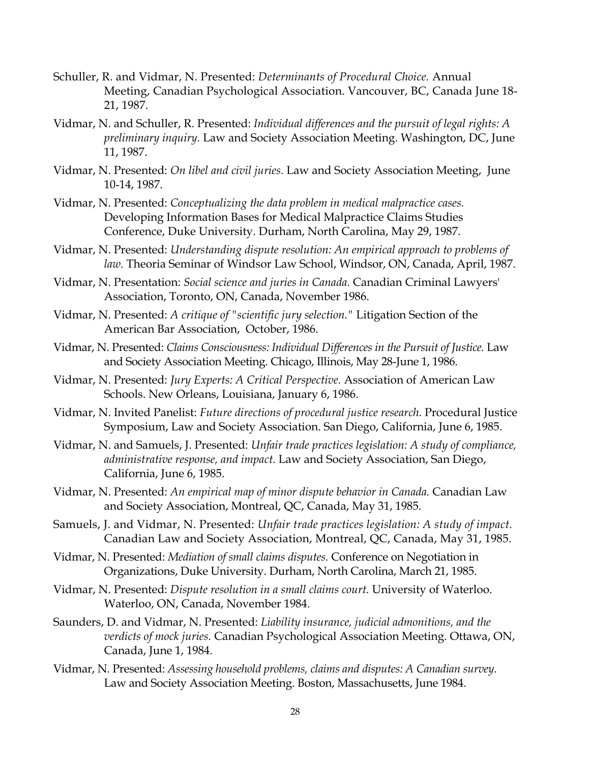- Schuller, R. and Vidmar, N. Presented: *Determinants of Procedural Choice.* Annual Meeting, Canadian Psychological Association. Vancouver, BC, Canada June 18- 21, 1987.
- Vidmar, N. and Schuller, R. Presented: *Individual differences and the pursuit of legal rights: A preliminary inquiry.* Law and Society Association Meeting. Washington, DC, June 11, 1987.
- Vidmar, N. Presented: *On libel and civil juries.* Law and Society Association Meeting, June 10-14, 1987.
- Vidmar, N. Presented: *Conceptualizing the data problem in medical malpractice cases.* Developing Information Bases for Medical Malpractice Claims Studies Conference, Duke University. Durham, North Carolina, May 29, 1987.
- Vidmar, N. Presented: *Understanding dispute resolution: An empirical approach to problems of law.* Theoria Seminar of Windsor Law School, Windsor, ON, Canada, April, 1987.
- Vidmar, N. Presentation: *Social science and juries in Canada.* Canadian Criminal Lawyers' Association, Toronto, ON, Canada, November 1986.
- Vidmar, N. Presented: *A critique of "scientific jury selection."* Litigation Section of the American Bar Association, October, 1986.
- Vidmar, N. Presented: *Claims Consciousness: Individual Differences in the Pursuit of Justice.* Law and Society Association Meeting. Chicago, Illinois, May 28-June 1, 1986.
- Vidmar, N. Presented: *Jury Experts: A Critical Perspective.* Association of American Law Schools. New Orleans, Louisiana, January 6, 1986.
- Vidmar, N. Invited Panelist: *Future directions of procedural justice research*. Procedural Justice Symposium, Law and Society Association. San Diego, California, June 6, 1985.
- Vidmar, N. and Samuels, J. Presented: *Unfair trade practices legislation: A study of compliance, administrative response, and impact.* Law and Society Association, San Diego, California, June 6, 1985.
- Vidmar, N. Presented: *An empirical map of minor dispute behavior in Canada.* Canadian Law and Society Association, Montreal, QC, Canada, May 31, 1985.
- Samuels, J. and Vidmar, N. Presented: *Unfair trade practices legislation: A study of impact.* Canadian Law and Society Association, Montreal, QC, Canada, May 31, 1985.
- Vidmar, N. Presented: *Mediation of small claims disputes.* Conference on Negotiation in Organizations, Duke University. Durham, North Carolina, March 21, 1985.
- Vidmar, N. Presented: *Dispute resolution in a small claims court.* University of Waterloo. Waterloo, ON, Canada, November 1984.
- Saunders, D. and Vidmar, N. Presented: *Liability insurance, judicial admonitions, and the verdicts of mock juries.* Canadian Psychological Association Meeting. Ottawa, ON, Canada, June 1, 1984.
- Vidmar, N. Presented: *Assessing household problems, claims and disputes: A Canadian survey.* Law and Society Association Meeting. Boston, Massachusetts, June 1984.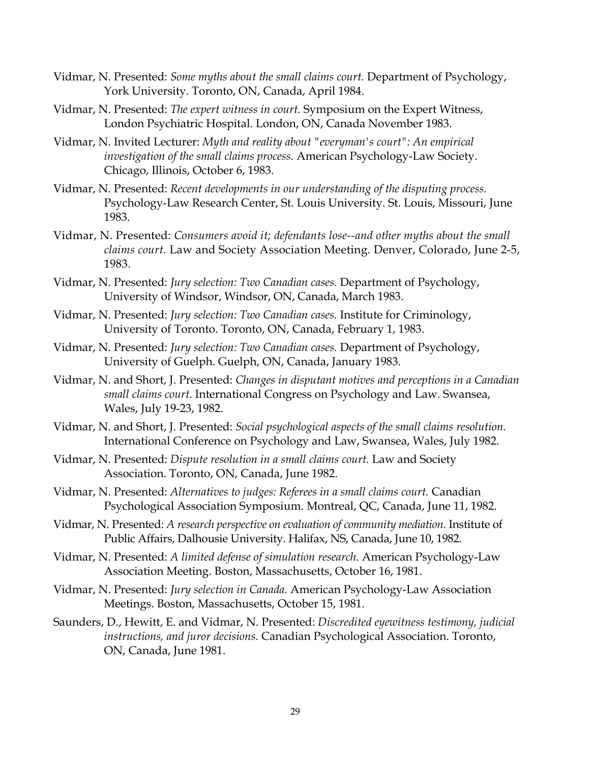- Vidmar, N. Presented: *Some myths about the small claims court.* Department of Psychology, York University. Toronto, ON, Canada, April 1984.
- Vidmar, N. Presented: *The expert witness in court.* Symposium on the Expert Witness, London Psychiatric Hospital. London, ON, Canada November 1983.
- Vidmar, N. Invited Lecturer: *Myth and reality about "everyman's court": An empirical investigation of the small claims process.* American Psychology-Law Society. Chicago, Illinois, October 6, 1983.
- Vidmar, N. Presented: *Recent developments in our understanding of the disputing process.* Psychology-Law Research Center, St. Louis University. St. Louis, Missouri, June 1983.
- Vidmar, N. Presented: *Consumers avoid it; defendants lose--and other myths about the small claims court.* Law and Society Association Meeting. Denver, Colorado, June 2-5, 1983.
- Vidmar, N. Presented: *Jury selection: Two Canadian cases.* Department of Psychology, University of Windsor, Windsor, ON, Canada, March 1983.
- Vidmar, N. Presented: *Jury selection: Two Canadian cases.* Institute for Criminology, University of Toronto. Toronto, ON, Canada, February 1, 1983.
- Vidmar, N. Presented: *Jury selection: Two Canadian cases.* Department of Psychology, University of Guelph. Guelph, ON, Canada, January 1983.
- Vidmar, N. and Short, J. Presented: *Changes in disputant motives and perceptions in a Canadian small claims court*. International Congress on Psychology and Law. Swansea, Wales, July 19-23, 1982.
- Vidmar, N. and Short, J. Presented: *Social psychological aspects of the small claims resolution.* International Conference on Psychology and Law, Swansea, Wales, July 1982.
- Vidmar, N. Presented: *Dispute resolution in a small claims court.* Law and Society Association. Toronto, ON, Canada, June 1982.
- Vidmar, N. Presented: *Alternatives to judges: Referees in a small claims court.* Canadian Psychological Association Symposium. Montreal, QC, Canada, June 11, 1982.
- Vidmar, N. Presented: *A research perspective on evaluation of community mediation.* Institute of Public Affairs, Dalhousie University. Halifax, NS, Canada, June 10, 1982.
- Vidmar, N. Presented: *A limited defense of simulation research.* American Psychology-Law Association Meeting. Boston, Massachusetts, October 16, 1981.
- Vidmar, N. Presented: *Jury selection in Canada.* American Psychology-Law Association Meetings. Boston, Massachusetts, October 15, 1981.
- Saunders, D., Hewitt, E. and Vidmar, N. Presented: *Discredited eyewitness testimony, judicial instructions, and juror decisions.* Canadian Psychological Association. Toronto, ON, Canada, June 1981.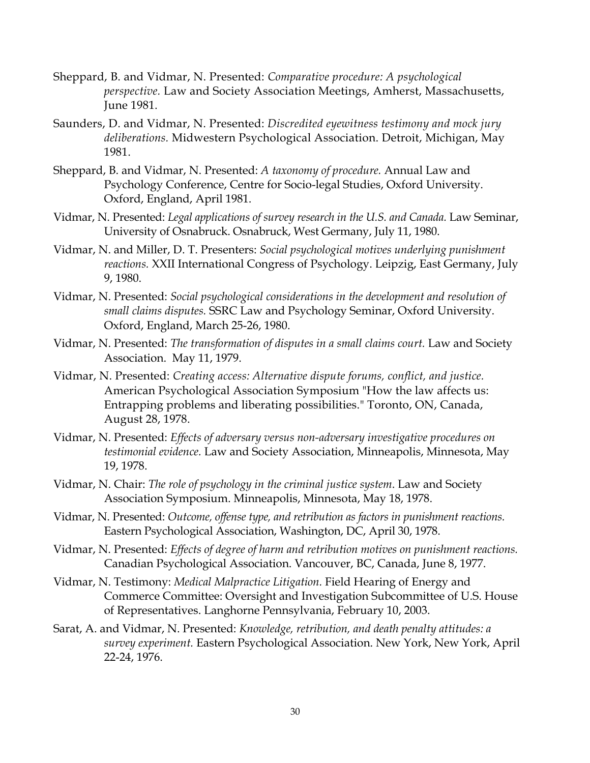- Sheppard, B. and Vidmar, N. Presented: *Comparative procedure: A psychological perspective.* Law and Society Association Meetings, Amherst, Massachusetts, June 1981.
- Saunders, D. and Vidmar, N. Presented: *Discredited eyewitness testimony and mock jury deliberations.* Midwestern Psychological Association. Detroit, Michigan, May 1981.
- Sheppard, B. and Vidmar, N. Presented: *A taxonomy of procedure.* Annual Law and Psychology Conference, Centre for Socio-legal Studies, Oxford University. Oxford, England, April 1981.
- Vidmar, N. Presented: *Legal applications of survey research in the U.S. and Canada.* Law Seminar, University of Osnabruck. Osnabruck, West Germany, July 11, 1980.
- Vidmar, N. and Miller, D. T. Presenters: *Social psychological motives underlying punishment reactions.* XXII International Congress of Psychology. Leipzig, East Germany, July 9, 1980.
- Vidmar, N. Presented: *Social psychological considerations in the development and resolution of small claims disputes.* SSRC Law and Psychology Seminar, Oxford University. Oxford, England, March 25-26, 1980.
- Vidmar, N. Presented: *The transformation of disputes in a small claims court.* Law and Society Association. May 11, 1979.
- Vidmar, N. Presented: *Creating access: Alternative dispute forums, conflict, and justice.*  American Psychological Association Symposium "How the law affects us: Entrapping problems and liberating possibilities." Toronto, ON, Canada, August 28, 1978.
- Vidmar, N. Presented: *Effects of adversary versus non-adversary investigative procedures on testimonial evidence.* Law and Society Association, Minneapolis, Minnesota, May 19, 1978.
- Vidmar, N. Chair: *The role of psychology in the criminal justice system*. Law and Society Association Symposium. Minneapolis, Minnesota, May 18, 1978.
- Vidmar, N. Presented: *Outcome, offense type, and retribution as factors in punishment reactions.* Eastern Psychological Association, Washington, DC, April 30, 1978.
- Vidmar, N. Presented: *Effects of degree of harm and retribution motives on punishment reactions.* Canadian Psychological Association. Vancouver, BC, Canada, June 8, 1977.
- Vidmar, N. Testimony: *Medical Malpractice Litigation.* Field Hearing of Energy and Commerce Committee: Oversight and Investigation Subcommittee of U.S. House of Representatives. Langhorne Pennsylvania, February 10, 2003.
- Sarat, A. and Vidmar, N. Presented: *Knowledge, retribution, and death penalty attitudes: a survey experiment.* Eastern Psychological Association. New York, New York, April 22-24, 1976.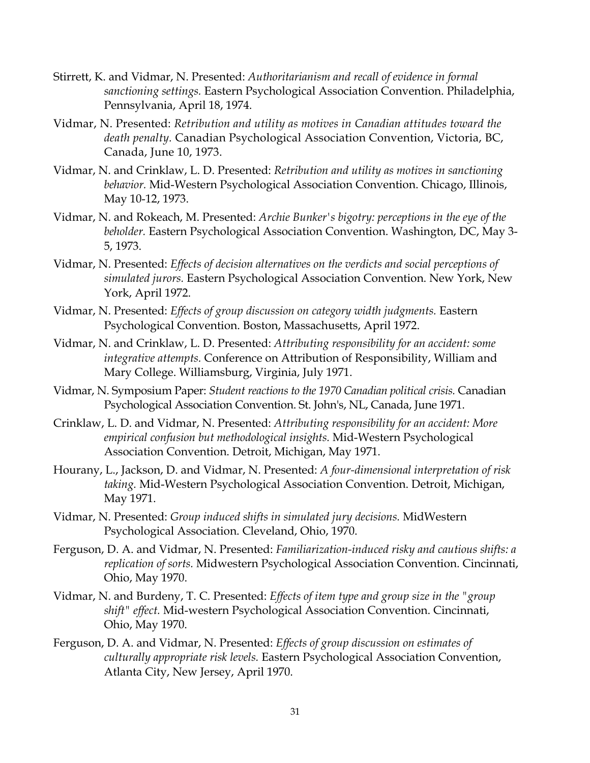- Stirrett, K. and Vidmar, N. Presented: *Authoritarianism and recall of evidence in formal sanctioning settings.* Eastern Psychological Association Convention. Philadelphia, Pennsylvania, April 18, 1974.
- Vidmar, N. Presented: *Retribution and utility as motives in Canadian attitudes toward the death penalty.* Canadian Psychological Association Convention, Victoria, BC, Canada, June 10, 1973.
- Vidmar, N. and Crinklaw, L. D. Presented: *Retribution and utility as motives in sanctioning behavior.* Mid-Western Psychological Association Convention. Chicago, Illinois, May 10-12, 1973.
- Vidmar, N. and Rokeach, M. Presented: *Archie Bunker's bigotry: perceptions in the eye of the beholder.* Eastern Psychological Association Convention. Washington, DC, May 3- 5, 1973.
- Vidmar, N. Presented: *Effects of decision alternatives on the verdicts and social perceptions of simulated jurors.* Eastern Psychological Association Convention. New York, New York, April 1972.
- Vidmar, N. Presented: *Effects of group discussion on category width judgments.* Eastern Psychological Convention. Boston, Massachusetts, April 1972.
- Vidmar, N. and Crinklaw, L. D. Presented: *Attributing responsibility for an accident: some integrative attempts.* Conference on Attribution of Responsibility, William and Mary College. Williamsburg, Virginia, July 1971.
- Vidmar, N. Symposium Paper: *Student reactions to the 1970 Canadian political crisis.* Canadian Psychological Association Convention. St. John's, NL, Canada, June 1971.
- Crinklaw, L. D. and Vidmar, N. Presented: *Attributing responsibility for an accident: More empirical confusion but methodological insights.* Mid-Western Psychological Association Convention. Detroit, Michigan, May 1971.
- Hourany, L., Jackson, D. and Vidmar, N. Presented: *A four-dimensional interpretation of risk taking.* Mid-Western Psychological Association Convention. Detroit, Michigan, May 1971.
- Vidmar, N. Presented: *Group induced shifts in simulated jury decisions.* MidWestern Psychological Association. Cleveland, Ohio, 1970.
- Ferguson, D. A. and Vidmar, N. Presented: *Familiarization-induced risky and cautious shifts: a replication of sorts.* Midwestern Psychological Association Convention. Cincinnati, Ohio, May 1970.
- Vidmar, N. and Burdeny, T. C. Presented: *Effects of item type and group size in the "group shift" effect.* Mid-western Psychological Association Convention. Cincinnati, Ohio, May 1970.
- Ferguson, D. A. and Vidmar, N. Presented: *Effects of group discussion on estimates of culturally appropriate risk levels.* Eastern Psychological Association Convention, Atlanta City, New Jersey, April 1970.